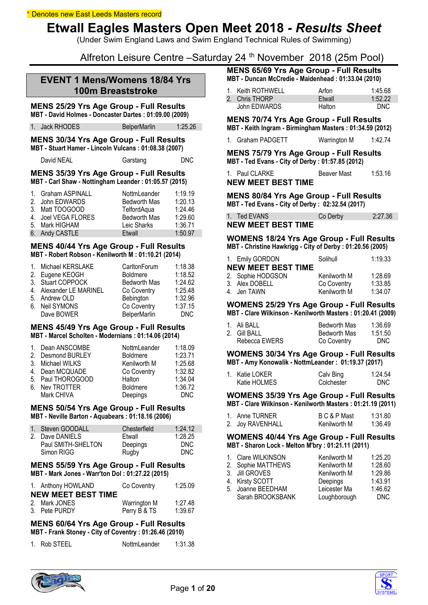(Under Swim England Laws and Swim England Technical Rules of Swimming)

Alfreton Leisure Centre –Saturday 24 th November 2018 (25m Pool)

# **EVENT 1 Mens/Womens 18/84 Yrs 100m Breaststroke**

# **MENS 25/29 Yrs Age Group - Full Results**

**MBT - David Holmes - Doncaster Dartes : 01:09.00 (2009)**

1. Jack RHODES BelperMarlin 1:25.26

#### **MENS 30/34 Yrs Age Group - Full Results MBT - Stuart Hamer - Lincoln Vulcans : 01:08.38 (2007)**

| David NEAL | Garstang | <b>DNC</b> |
|------------|----------|------------|
|            |          |            |

#### **MENS 35/39 Yrs Age Group - Full Results MBT - Carl Shaw - Nottingham Leander : 01:05.57 (2015)**

| 1. Graham ASPINALL  | NottmLeander        | 1:19.19 |
|---------------------|---------------------|---------|
| 2. John EDWARDS     | <b>Bedworth Mas</b> | 1:20.13 |
| 3. Matt TOOGOOD     | TelfordAqua         | 1:24.46 |
| 4. Joel VEGA FLORES | <b>Bedworth Mas</b> | 1:29.60 |
| 5. Mark HIGHAM      | Leic Sharks         | 1:36.71 |
| 6. Andy CASTLE      | Etwall              | 1:50.97 |

## **MENS 40/44 Yrs Age Group - Full Results MBT - Robert Robson - Kenilworth M : 01:10.21 (2014)**

| 1. Michael KERSLAKE     | CarltonForum        | 1:18.38    |
|-------------------------|---------------------|------------|
| 2. Eugene KEOGH         | <b>Boldmere</b>     | 1:18.52    |
| 3. Stuart COPPOCK       | <b>Bedworth Mas</b> | 1:24.62    |
| 4. Alexander LE MARINEL | Co Coventry         | 1:25.48    |
| 5. Andrew OLD           | Bebington           | 1:32.96    |
| 6. Neil SYMONS          | Co Coventry         | 1:37.15    |
| Dave BOWER              | BelperMarlin        | <b>DNC</b> |

#### **MENS 45/49 Yrs Age Group - Full Results MBT - Marcel Scholten - Modernians : 01:14.06 (2014)**

| 1. Dean ANSCOMBE  | NottmLeander    | 1:18.09    |
|-------------------|-----------------|------------|
| 2. Desmond BURLEY | <b>Boldmere</b> | 1:23.71    |
| 3. Michael WILKS  | Kenilworth M    | 1:25.68    |
| 4. Dean MCQUADE   | Co Coventry     | 1:32.82    |
| 5. Paul THOROGOOD | Halton          | 1:34.04    |
| 6. Nev TROTTER    | <b>Boldmere</b> | 1:36.72    |
| Mark CHIVA        | Deepings        | <b>DNC</b> |
|                   |                 |            |

### **MENS 50/54 Yrs Age Group - Full Results MBT - Neville Barton - Aquabears : 01:18.16 (2006)**

| 1. Steven GOODALL  | Chesterfield | 1:24.12    |
|--------------------|--------------|------------|
| 2. Dave DANIELS    | Etwall       | 1:28.25    |
| Paul SMITH-SHELTON | Deepings     | <b>DNC</b> |
| Simon RIGG         | Rugby        | <b>DNC</b> |

### **MENS 55/59 Yrs Age Group - Full Results MBT - Mark Jones - Warr'ton Dol : 01:27.22 (2015)**

| 1. Anthony HOWLAND        | Co Coventry  | 1:25.09 |
|---------------------------|--------------|---------|
| <b>NEW MEET BEST TIME</b> |              |         |
| 2. Mark JONES             | Warrington M | 1:27.48 |
| 3. Pete PURDY             | Perry B & TS | 1:39.67 |

#### **MENS 60/64 Yrs Age Group - Full Results MBT - Frank Stoney - City of Coventry : 01:26.46 (2010)**

| 1. Rob STEEL | NottmLeander | 1:31.38 |
|--------------|--------------|---------|
|              |              |         |

**MENS 65/69 Yrs Age Group - Full Results MBT - Duncan McCredie - Maidenhead : 01:33.04 (2010)**

| 1. Keith ROTHWELL | Arfon         | 1:45.68 |
|-------------------|---------------|---------|
| 2. Chris THORP    | Etwall        | 1:52.22 |
| John EDWARDS      | <b>Halton</b> | DNC.    |

**MENS 70/74 Yrs Age Group - Full Results MBT - Keith Ingram - Birmingham Masters : 01:34.59 (2012)**

1. Graham PADGETT Warrington M 1:42.74

**MENS 75/79 Yrs Age Group - Full Results MBT - Ted Evans - City of Derby : 01:57.85 (2012)**

| 1. Paul CLARKE            | <b>Beaver Mast</b> | 1:53.16 |
|---------------------------|--------------------|---------|
| <b>NEW MEET BEST TIME</b> |                    |         |

**MENS 80/84 Yrs Age Group - Full Results MBT - Ted Evans - City of Derby : 02:32.54 (2017)**

| 1. Ted EVANS              | Co Derby | 2:27.36 |
|---------------------------|----------|---------|
| <b>NEW MEET BEST TIME</b> |          |         |

#### **WOMENS 18/24 Yrs Age Group - Full Results MBT - Christine Hawkrigg - City of Derby : 01:20.56 (2005)**

| 1. Emily GORDON           | Solihull     | 1:19.33 |
|---------------------------|--------------|---------|
| <b>NEW MEET BEST TIME</b> |              |         |
| 2. Sophie HODGSON         | Kenilworth M | 1:28.69 |
| 3. Alex DOBELL            | Co Coventry  | 1:33.85 |
| 4. Jen TAWN               | Kenilworth M | 1:34.07 |

#### **WOMENS 25/29 Yrs Age Group - Full Results MBT - Clare Wilkinson - Kenilworth Masters : 01:20.41 (2009)**

| 1. Ali BALL   | Bedworth Mas | 1:36.69 |
|---------------|--------------|---------|
| 2. Gill BALL  | Bedworth Mas | 1:51.50 |
| Rebecca EWERS | Co Coventry  | DNC.    |

**WOMENS 30/34 Yrs Age Group - Full Results MBT - Amy Konowalik - NottmLeander : 01:19.37 (2017)**

| 1. Katie LOKER | Calv Bing  | 1:24.54    |
|----------------|------------|------------|
| Katie HOLMES   | Colchester | <b>DNC</b> |

#### **WOMENS 35/39 Yrs Age Group - Full Results MBT - Clare Wilkinson - Kenilworth Masters : 01:21.19 (2011)**

| 1. Anne TURNER   | B C & P Mast | 1:31.80 |
|------------------|--------------|---------|
| 2. Joy RAVENHALL | Kenilworth M | 1:36.49 |

### **WOMENS 40/44 Yrs Age Group - Full Results MBT - Sharon Lock - Melton M'bry : 01:21.11 (2011)**

| 1. Clare WILKINSON | Kenilworth M | 1:25.20 |
|--------------------|--------------|---------|
| 2. Sophie MATTHEWS | Kenilworth M | 1:28.60 |
| 3. Jill GROVES     | Kenilworth M | 1:29.86 |
| 4. Kirsty SCOTT    | Deepings     | 1:43.91 |
| 5. Joanne BEEDHAM  | Leicester Ma | 1:46.62 |
| Sarah BROOKSBANK   | Loughborough | DNC.    |
|                    |              |         |



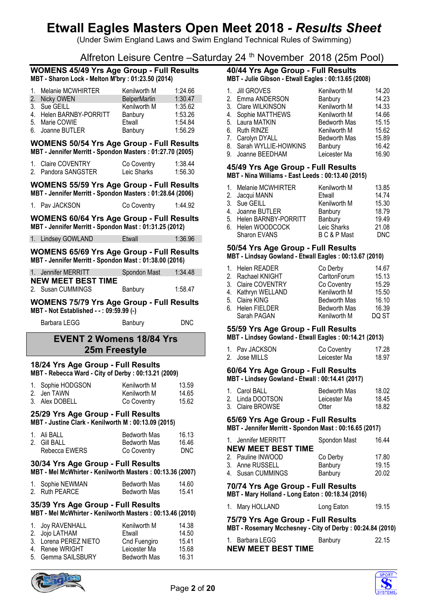(Under Swim England Laws and Swim England Technical Rules of Swimming)

# Alfreton Leisure Centre –Saturday 24 th November 2018 (25m Pool)

#### **WOMENS 45/49 Yrs Age Group - Full Results MBT - Sharon Lock - Melton M'bry : 01:23.50 (2014)**

| 1. Melanie MCWHIRTER    | Kenilworth M        | 1:24.66 |
|-------------------------|---------------------|---------|
| 2. Nicky OWEN           | <b>BelperMarlin</b> | 1:30.47 |
| 3. Sue GEILL            | Kenilworth M        | 1:35.62 |
| 4. Helen BARNBY-PORRITT | Banbury             | 1:53.26 |
| 5. Marie COWIE          | Etwall              | 1:54.84 |
| 6. Joanne BUTLER        | Banbury             | 1:56.29 |

## **WOMENS 50/54 Yrs Age Group - Full Results MBT - Jennifer Merritt - Spondon Masters : 01:27.70 (2005)**

| 1. Claire COVENTRY  | Co Coventry | 1:38.44 |
|---------------------|-------------|---------|
| 2. Pandora SANGSTER | Leic Sharks | 1:56.30 |

### **WOMENS 55/59 Yrs Age Group - Full Results MBT - Jennifer Merritt - Spondon Masters : 01:28.64 (2006)**

| 1. Pav JACKSON | Co Coventry | 1:44.92 |
|----------------|-------------|---------|
|                |             |         |

**WOMENS 60/64 Yrs Age Group - Full Results MBT - Jennifer Merritt - Spondon Mast : 01:31.25 (2012)**

1. Lindsey GOWLAND Etwall 1:36.96

#### **WOMENS 65/69 Yrs Age Group - Full Results MBT - Jennifer Merritt - Spondon Mast : 01:38.00 (2016)**

| 1. Jennifer MERRITT                            | Spondon Mast | 1:34.48 |
|------------------------------------------------|--------------|---------|
| <b>NEW MEET BEST TIME</b><br>2. Susan CUMMINGS | Banbury      | 1:58.47 |

#### **WOMENS 75/79 Yrs Age Group - Full Results MBT - Not Established - - : 09:59.99 (-)**

| Barbara LEGG | Banbury | <b>DNC</b> |
|--------------|---------|------------|
|              |         |            |

# **EVENT 2 Womens 18/84 Yrs 25m Freestyle**

#### **18/24 Yrs Age Group - Full Results MBT - Rebecca Ward - City of Derby : 00:13.21 (2009)**

| 1. Sophie HODGSON | Kenilworth M | 13.59 |
|-------------------|--------------|-------|
| 2. Jen TAWN       | Kenilworth M | 14.65 |
| 3. Alex DOBELL    | Co Coventry  | 15.62 |

# **25/29 Yrs Age Group - Full Results**

**MBT - Justine Clark - Kenilworth M : 00:13.09 (2015)**

| 1. Ali BALL   | Bedworth Mas | 16.13 |
|---------------|--------------|-------|
| 2. Gill BALL  | Bedworth Mas | 16.46 |
| Rebecca EWERS | Co Coventry  | DNC.  |

# **30/34 Yrs Age Group - Full Results**

|  | MBT - Mel McWhirter - Kenilworth Masters: 00:13.36 (2007) |  |  |
|--|-----------------------------------------------------------|--|--|
|  |                                                           |  |  |

| 1. Sophie NEWMAN | <b>Bedworth Mas</b> | 14.60 |
|------------------|---------------------|-------|
| 2. Ruth PEARCE   | <b>Bedworth Mas</b> | 15.41 |

# **35/39 Yrs Age Group - Full Results**

## **MBT - Mel McWhirter - Kenilworth Masters : 00:13.46 (2010)**

| 1. Joy RAVENHALL      | Kenilworth M        | 14.38 |
|-----------------------|---------------------|-------|
| 2. Jojo LATHAM        | Etwall              | 14.50 |
| 3. Lorena PEREZ NIETO | Cnd Fuengiro        | 15.41 |
| 4. Renee WRIGHT       | Leicester Ma        | 15.68 |
| 5. Gemma SAILSBURY    | <b>Bedworth Mas</b> | 16.31 |
|                       |                     |       |



| 1. Jill GROVES          | Kenilworth M        | 14.20 |
|-------------------------|---------------------|-------|
| 2. Emma ANDERSON        | Banbury             | 14.23 |
| 3. Clare WILKINSON      | Kenilworth M        | 14.33 |
| 4. Sophie MATTHEWS      | Kenilworth M        | 14.66 |
| 5. Laura MATKIN         | <b>Bedworth Mas</b> | 15.15 |
| 6. Ruth RINZE           | Kenilworth M        | 15.62 |
| 7. Carolyn DYALL        | <b>Bedworth Mas</b> | 15.89 |
| 8. Sarah WYLLIE-HOWKINS | Banbury             | 16.42 |
| 9. Joanne BEEDHAM       | Leicester Ma        | 16.90 |
|                         |                     |       |

## **45/49 Yrs Age Group - Full Results MBT - Nina Williams - East Leeds : 00:13.40 (2015)**

| 1. Melanie MCWHIRTER    | Kenilworth M | 13.85 |
|-------------------------|--------------|-------|
| 2. Jacqui MANN          | Etwall       | 14.74 |
| 3. Sue GEILL            | Kenilworth M | 15.30 |
| 4. Joanne BUTLER        | Banbury      | 18.79 |
| 5. Helen BARNBY-PORRITT | Banbury      | 19.49 |
| 6. Helen WOODCOCK       | Leic Sharks  | 21.08 |
| Sharon EVANS            | B C & P Mast | DNC.  |
|                         |              |       |

# **50/54 Yrs Age Group - Full Results**

# **MBT - Lindsay Gowland - Etwall Eagles : 00:13.67 (2010)**

| 1. Helen READER    | Co Derby            | 14.67 |
|--------------------|---------------------|-------|
| 2. Rachael KNIGHT  | CarltonForum        | 15.13 |
| 3. Claire COVENTRY | Co Coventry         | 15.29 |
| 4. Kathryn WELLAND | Kenilworth M        | 15.50 |
| 5. Claire KING     | <b>Bedworth Mas</b> | 16.10 |
| 6. Helen FIELDER   | <b>Bedworth Mas</b> | 16.39 |
| Sarah PAGAN        | Kenilworth M        | DO ST |
|                    |                     |       |

# **55/59 Yrs Age Group - Full Results**

# **MBT - Lindsey Gowland - Etwall Eagles : 00:14.21 (2013)**

| 1. Pav JACKSON | Co Coventry  | 17.28 |
|----------------|--------------|-------|
| 2. Jose MILLS  | Leicester Ma | 18.97 |

## **60/64 Yrs Age Group - Full Results MBT - Lindsey Gowland - Etwall : 00:14.41 (2017)**

| 1. Carol BALL    | Bedworth Mas | 18.02 |
|------------------|--------------|-------|
| 2. Linda DOOTSON | Leicester Ma | 18.45 |
| 3. Claire BROWSE | Otter        | 18.82 |

# **65/69 Yrs Age Group - Full Results**

**MBT - Jennifer Merritt - Spondon Mast : 00:16.65 (2017)**

| 1. Jennifer MERRITT<br><b>NEW MEET BEST TIME</b> | Spondon Mast | 16.44 |
|--------------------------------------------------|--------------|-------|
| 2. Pauline INWOOD                                | Co Derby     | 17.80 |
| 3. Anne RUSSELL                                  | Banbury      | 19.15 |
| 4. Susan CUMMINGS                                | Banbury      | 20.02 |

# **70/74 Yrs Age Group - Full Results**

**MBT - Mary Holland - Long Eaton : 00:18.34 (2016)**

| 1. Mary HOLLAND | Long Eaton | 19.15 |
|-----------------|------------|-------|
|                 |            |       |

# **75/79 Yrs Age Group - Full Results**

| MBT - Rosemary Mcchesney - City of Derby: 00:24.84 (2010) |
|-----------------------------------------------------------|
|-----------------------------------------------------------|

| 1. Barbara LEGG           | Banbury | 22.15 |
|---------------------------|---------|-------|
| <b>NEW MEET BEST TIME</b> |         |       |



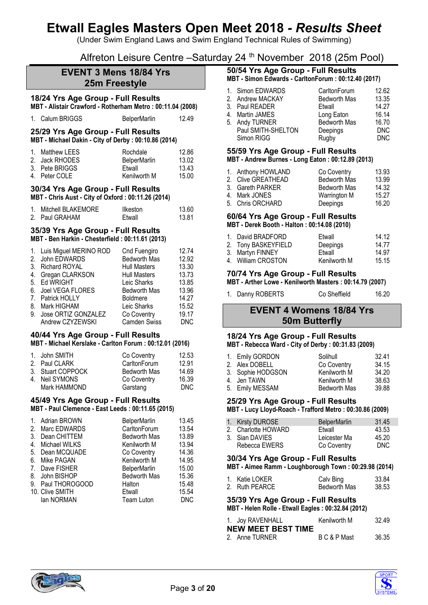(Under Swim England Laws and Swim England Technical Rules of Swimming)

Alfreton Leisure Centre –Saturday 24 th November 2018 (25m Pool)

# **EVENT 3 Mens 18/84 Yrs 25m Freestyle**

# **18/24 Yrs Age Group - Full Results MBT - Alistair Crawford - Rotherham Metro : 00:11.04 (2008)**

1. Calum BRIGGS BelperMarlin 12.49

#### **25/29 Yrs Age Group - Full Results MBT - Michael Dakin - City of Derby : 00:10.86 (2014)**

| 12.86 |
|-------|
| 13.02 |
| 13.43 |
| 15.00 |
|       |

### **30/34 Yrs Age Group - Full Results MBT - Chris Aust - City of Oxford : 00:11.26 (2014)**

| 1. Mitchell BLAKEMORE | Ilkeston | 13.60 |
|-----------------------|----------|-------|
| 2. Paul GRAHAM        | Etwall   | 13.81 |

### **35/39 Yrs Age Group - Full Results MBT - Ben Harkin - Chesterfield : 00:11.61 (2013)**

|    | 1. Luis Miguel MERINO ROD | Cnd Fuengiro        | 12.74      |
|----|---------------------------|---------------------|------------|
|    | 2. John EDWARDS           | <b>Bedworth Mas</b> | 12.92      |
|    | 3. Richard ROYAL          | <b>Hull Masters</b> | 13.30      |
| 4. | Gregan CLARKSON           | <b>Hull Masters</b> | 13.73      |
|    | 5. Ed WRIGHT              | Leic Sharks         | 13.85      |
|    | 6. Joel VEGA FLORES       | <b>Bedworth Mas</b> | 13.96      |
|    | 7. Patrick HOLLY          | <b>Boldmere</b>     | 14.27      |
| 8. | Mark HIGHAM               | Leic Sharks         | 15.52      |
| 9. | Jose ORTIZ GONZALEZ       | Co Coventry         | 19.17      |
|    | Andrew CZYZEWSKI          | <b>Camden Swiss</b> | <b>DNC</b> |

#### **40/44 Yrs Age Group - Full Results MBT - Michael Kerslake - Carlton Forum : 00:12.01 (2016)**

| 1. John SMITH     | Co Coventry         | 12.53 |
|-------------------|---------------------|-------|
| 2. Paul CLARK     | CarltonForum        | 12.91 |
| 3. Stuart COPPOCK | <b>Bedworth Mas</b> | 14.69 |
| 4. Neil SYMONS    | Co Coventry         | 16.39 |
| Mark HAMMOND      | Garstang            | DNC   |

#### **45/49 Yrs Age Group - Full Results MBT - Paul Clemence - East Leeds : 00:11.65 (2015)**

# **50/54 Yrs Age Group - Full Results**

|  | MBT - Simon Edwards - CarltonForum : 00:12.40 (2017) |  |  |
|--|------------------------------------------------------|--|--|
|  |                                                      |  |  |

| 1. Simon EDWARDS   | CarltonForum        | 12.62      |
|--------------------|---------------------|------------|
| 2. Andrew MACKAY   | <b>Bedworth Mas</b> | 13.35      |
| 3. Paul READER     | Etwall              | 14.27      |
| 4. Martin JAMES    | Long Eaton          | 16.14      |
| 5. Andy TURNER     | <b>Bedworth Mas</b> | 16.70      |
| Paul SMITH-SHELTON | Deepings            | <b>DNC</b> |
| Simon RIGG         | Rugby               | <b>DNC</b> |

#### **55/59 Yrs Age Group - Full Results MBT - Andrew Burnes - Long Eaton : 00:12.89 (2013)**

| $1.121$ $1.11$ $1.11$ $1.11$ $1.11$ $1.11$ $1.11$ $1.11$ $1.11$ $1.11$ $1.11$ $1.11$ $1.11$ $1.11$ $1.11$ $1.11$ $1.11$ $1.11$ $1.11$ $1.11$ $1.11$ $1.11$ $1.11$ $1.11$ $1.11$ $1.11$ $1.11$ $1.11$ $1.11$ $1.11$ $1.11$ $1.$ |                    |                     |       |
|--------------------------------------------------------------------------------------------------------------------------------------------------------------------------------------------------------------------------------|--------------------|---------------------|-------|
|                                                                                                                                                                                                                                | 1. Anthony HOWLAND | Co Coventry         | 13.93 |
|                                                                                                                                                                                                                                | 2. Clive GREATHEAD | <b>Bedworth Mas</b> | 13.99 |
|                                                                                                                                                                                                                                | 3. Gareth PARKER   | <b>Bedworth Mas</b> | 14.32 |
|                                                                                                                                                                                                                                | 4. Mark JONES      | Warrington M        | 15.27 |

| ש wain טאונט.    | <b><i>vvallington ivi</i></b> | 19.41 |
|------------------|-------------------------------|-------|
| 5. Chris ORCHARD | Deepings                      | 16.20 |

#### **60/64 Yrs Age Group - Full Results MBT - Derek Booth - Halton : 00:14.08 (2010)**

| 1. David BRADFORD   | Etwall       | 14.12 |
|---------------------|--------------|-------|
| 2. Tony BASKEYFIELD | Deepings     | 14.77 |
| 3. Martyn FINNEY    | Etwall       | 14.97 |
| 4. William CROSTON  | Kenilworth M | 15.15 |
|                     |              |       |

# **70/74 Yrs Age Group - Full Results**

**MBT - Arther Lowe - Kenilworth Masters : 00:14.79 (2007)**

| 1. Danny ROBERTS | Co Sheffield | 16.20 |
|------------------|--------------|-------|
|                  |              |       |

# **EVENT 4 Womens 18/84 Yrs 50m Butterfly**

# **18/24 Yrs Age Group - Full Results**

#### **MBT - Rebecca Ward - City of Derby : 00:31.83 (2009)**

| 1. Emily GORDON<br>2. Alex DOBELL<br>3. Sophie HODGSON<br>4. Jen TAWN | Solihull<br>Co Coventry<br>Kenilworth M<br>Kenilworth M | 32.41<br>34.15<br>34.20<br>38.63 |
|-----------------------------------------------------------------------|---------------------------------------------------------|----------------------------------|
| 5. Emily MESSAM                                                       | <b>Bedworth Mas</b>                                     | 39.88                            |
|                                                                       |                                                         |                                  |

# **25/29 Yrs Age Group - Full Results**

**MBT - Lucy Lloyd-Roach - Trafford Metro : 00:30.86 (2009)**

| 1. Kirsty DUROSE    | BelperMarlin | 31.45 |
|---------------------|--------------|-------|
| 2. Charlotte HOWARD | Etwall       | 43.53 |
| 3. Sian DAVIES      | Leicester Ma | 45.20 |
| Rebecca EWERS       | Co Coventry  | DNC   |

# **30/34 Yrs Age Group - Full Results**

**MBT - Aimee Ramm - Loughborough Town : 00:29.98 (2014)**

| 1. Katie LOKER | Calv Bing    | 33.84 |
|----------------|--------------|-------|
| 2. Ruth PEARCE | Bedworth Mas | 38.53 |

# **35/39 Yrs Age Group - Full Results**

**MBT - Helen Rolle - Etwall Eagles : 00:32.84 (2012)**

| 1. Joy RAVENHALL          | Kenilworth M | 32.49 |
|---------------------------|--------------|-------|
| <b>NEW MEET BEST TIME</b> |              |       |
| 2. Anne TURNER            | B C & P Mast | 36.35 |



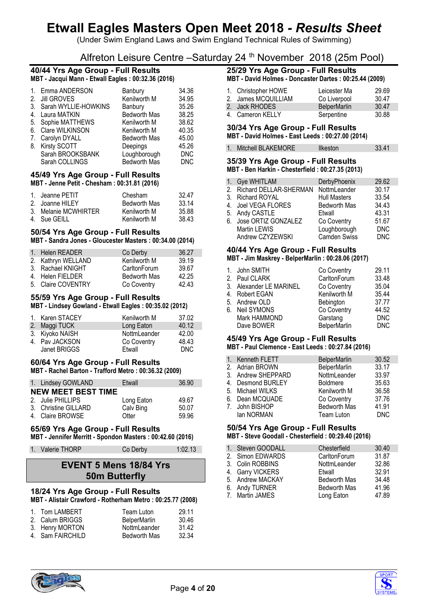(Under Swim England Laws and Swim England Technical Rules of Swimming)

# Alfreton Leisure Centre –Saturday 24 th November 2018 (25m Pool)

#### **40/44 Yrs Age Group - Full Results MBT - Jacqui Mann - Etwall Eagles : 00:32.36 (2016)**

|    | 1. Emma ANDERSON        | Banbury             | 34.36      |
|----|-------------------------|---------------------|------------|
|    | 2. Jill GROVES          | Kenilworth M        | 34.95      |
|    | 3. Sarah WYLLIE-HOWKINS | Banbury             | 35.26      |
| 4. | Laura MATKIN            | <b>Bedworth Mas</b> | 38.25      |
|    | 5. Sophie MATTHEWS      | Kenilworth M        | 38.62      |
| 6. | Clare WILKINSON         | Kenilworth M        | 40.35      |
|    | 7. Carolyn DYALL        | <b>Bedworth Mas</b> | 45.00      |
|    | 8. Kirsty SCOTT         | Deepings            | 45.26      |
|    | Sarah BROOKSBANK        | Loughborough        | <b>DNC</b> |
|    | Sarah COLLINGS          | <b>Bedworth Mas</b> | <b>DNC</b> |
|    |                         |                     |            |

#### **45/49 Yrs Age Group - Full Results MBT - Jenne Petit - Chesham : 00:31.81 (2016)**

| 1. Jeanne PETIT      | Chesham      | 32.47 |
|----------------------|--------------|-------|
| 2. Joanne HILEY      | Bedworth Mas | 33.14 |
| 3. Melanie MCWHIRTER | Kenilworth M | 35.88 |
| 4. Sue GEILL         | Kenilworth M | 38.43 |
|                      |              |       |

# **50/54 Yrs Age Group - Full Results**

**MBT - Sandra Jones - Gloucester Masters : 00:34.00 (2014)**

| 1. Helen READER    | Co Derby            | 36.27 |
|--------------------|---------------------|-------|
| 2. Kathryn WELLAND | Kenilworth M        | 39.19 |
| 3. Rachael KNIGHT  | CarltonForum        | 39.67 |
| 4. Helen FIELDER   | <b>Bedworth Mas</b> | 42.25 |
| 5. Claire COVENTRY | Co Coventry         | 42.43 |

# **55/59 Yrs Age Group - Full Results**

**MBT - Lindsey Gowland - Etwall Eagles : 00:35.02 (2012)**

| 1. Karen STACEY | Kenilworth M | 37.02 |
|-----------------|--------------|-------|
| 2. Maggi TUCK   | Long Eaton   | 40.12 |
| 3. Kiyoko NAISH | NottmLeander | 42.00 |
| 4. Pav JACKSON  | Co Coventry  | 48.43 |
| Janet BRIGGS    | Etwall       | DNC.  |

# **60/64 Yrs Age Group - Full Results**

**MBT - Rachel Barton - Trafford Metro : 00:36.32 (2009)**

| 1. Lindsey GOWLAND                                            | Etwall                           | 36.90                   |
|---------------------------------------------------------------|----------------------------------|-------------------------|
| <b>NEW MEET BEST TIME</b>                                     |                                  |                         |
| 2. Julie PHILLIPS<br>3. Christine GILLARD<br>4. Claire BROWSE | Long Eaton<br>Calv Bing<br>Otter | 49.67<br>50.07<br>59.96 |

# **65/69 Yrs Age Group - Full Results**

**MBT - Jennifer Merritt - Spondon Masters : 00:42.60 (2016)**

1. Valerie THORP Co Derby 1:02.13

# **EVENT 5 Mens 18/84 Yrs 50m Butterfly**

## **18/24 Yrs Age Group - Full Results MBT - Alistair Crawford - Rotherham Metro : 00:25.77 (2008)**

| 1. Tom LAMBERT   | Team Luton          | 29.11 |
|------------------|---------------------|-------|
| 2. Calum BRIGGS  | <b>BelperMarlin</b> | 30.46 |
| 3. Henry MORTON  | NottmLeander        | 31.42 |
| 4. Sam FAIRCHILD | Bedworth Mas        | 32.34 |

### **25/29 Yrs Age Group - Full Results MBT - David Holmes - Doncaster Dartes : 00:25.44 (2009)**

| 1. Christopher HOWE | Leicester Ma        | 29.69 |
|---------------------|---------------------|-------|
| 2. James MCQUILLIAM | Co Liverpool        | 30.47 |
| 2. Jack RHODES      | <b>BelperMarlin</b> | 30.47 |
| 4. Cameron KELLY    | Serpentine          | 30.88 |

# **30/34 Yrs Age Group - Full Results**

# **MBT - David Holmes - East Leeds : 00:27.00 (2014)** 1. Mitchell BLAKEMORE Ilkeston 33.41

# **35/39 Yrs Age Group - Full Results**

**MBT - Ben Harkin - Chesterfield : 00:27.35 (2013)**

| 1. Gye WHITLAM                         | DerbyPhoenix        | 29.62      |
|----------------------------------------|---------------------|------------|
| 2. Richard DELLAR-SHERMAN NottmLeander |                     | 30.17      |
| 3. Richard ROYAL                       | <b>Hull Masters</b> | 33.54      |
| 4. Joel VEGA FLORES                    | <b>Bedworth Mas</b> | 34.43      |
| 5. Andy CASTLE                         | Etwall              | 43.31      |
| 6. Jose ORTIZ GONZALEZ                 | Co Coventry         | 51.67      |
| Martin LEWIS                           | Loughborough        | <b>DNC</b> |
| Andrew CZYZEWSKI                       | Camden Swiss        | <b>DNC</b> |

# **40/44 Yrs Age Group - Full Results**

# **MBT - Jim Maskrey - BelperMarlin : 00:28.06 (2017)**

| 1. John SMITH           | Co Coventry         | 29.11      |
|-------------------------|---------------------|------------|
| 2. Paul CLARK           | CarltonForum        | 33.48      |
| 3. Alexander LE MARINEL | Co Coventry         | 35.04      |
| 4. Robert EGAN          | Kenilworth M        | 35.44      |
| 5. Andrew OLD           | Bebington           | 37.77      |
| 6. Neil SYMONS          | Co Coventry         | 44.52      |
| Mark HAMMOND            | Garstang            | <b>DNC</b> |
| Dave BOWER              | <b>BelperMarlin</b> | <b>DNC</b> |
|                         |                     |            |

# **45/49 Yrs Age Group - Full Results**

# **MBT - Paul Clemence - East Leeds : 00:27.84 (2016)**

| 1. Kenneth FLETT   | <b>BelperMarlin</b> | 30.52 |
|--------------------|---------------------|-------|
| 2. Adrian BROWN    | <b>BelperMarlin</b> | 33.17 |
| 3. Andrew SHEPPARD | NottmLeander        | 33.97 |
| 4. Desmond BURLEY  | <b>Boldmere</b>     | 35.63 |
| 5. Michael WILKS   | Kenilworth M        | 36.58 |
| 6. Dean MCQUADE    | Co Coventry         | 37.76 |
| 7. John BISHOP     | <b>Bedworth Mas</b> | 41.91 |
| lan NORMAN         | Team Luton          | DNC   |

### **50/54 Yrs Age Group - Full Results MBT - Steve Goodall - Chesterfield : 00:29.40 (2016)**

| 1. Steven GOODALL | Chesterfield        | 30.40 |
|-------------------|---------------------|-------|
| 2. Simon EDWARDS  | CarltonForum        | 31.87 |
| 3. Colin ROBBINS  | NottmLeander        | 32.86 |
| 4. Garry VICKERS  | Etwall              | 32.91 |
| 5. Andrew MACKAY  | <b>Bedworth Mas</b> | 34.48 |
| 6. Andy TURNER    | <b>Bedworth Mas</b> | 41.96 |
| 7. Martin JAMES   | Long Eaton          | 47.89 |



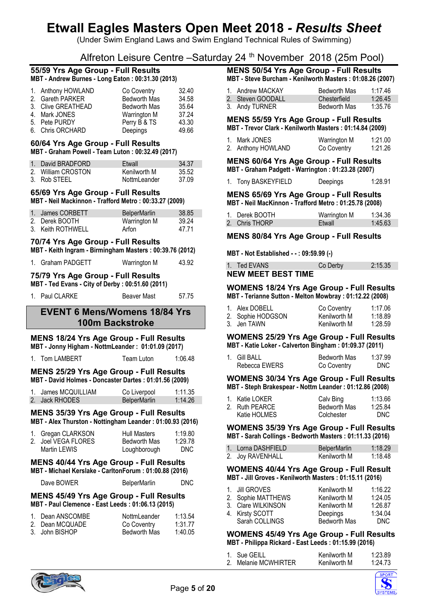(Under Swim England Laws and Swim England Technical Rules of Swimming)

# Alfreton Leisure Centre –Saturday 24 th November 2018 (25m Pool)

#### **55/59 Yrs Age Group - Full Results MBT - Andrew Burnes - Long Eaton : 00:31.30 (2013)**

| 1. Anthony HOWLAND | Co Coventry         | 32.40 |
|--------------------|---------------------|-------|
| 2. Gareth PARKER   | <b>Bedworth Mas</b> | 34.58 |
| 3. Clive GREATHEAD | <b>Bedworth Mas</b> | 35.64 |
| 4. Mark JONES      | Warrington M        | 37.24 |
| 5. Pete PURDY      | Perry B & TS        | 43.30 |
| 6. Chris ORCHARD   | Deepings            | 49.66 |

## **60/64 Yrs Age Group - Full Results MBT - Graham Powell - Team Luton : 00:32.49 (2017)**

| 1. David BRADFORD  | Etwall       | 34.37 |
|--------------------|--------------|-------|
| 2. William CROSTON | Kenilworth M | 35.52 |
| 3. Rob STEEL       | NottmLeander | 37.09 |

# **65/69 Yrs Age Group - Full Results**

**MBT - Neil Mackinnon - Trafford Metro : 00:33.27 (2009)**

| 1. James CORBETT  | <b>BelperMarlin</b> | 38.85 |
|-------------------|---------------------|-------|
| 2. Derek BOOTH    | Warrington M        | 39.24 |
| 3. Keith ROTHWELL | Arfon               | 47 71 |

#### **70/74 Yrs Age Group - Full Results MBT - Keith Ingram - Birmingham Masters : 00:39.76 (2012)**

| 1. Graham PADGETT | Warrington M | 43.92 |
|-------------------|--------------|-------|

# **75/79 Yrs Age Group - Full Results**

### **MBT - Ted Evans - City of Derby : 00:51.60 (2011)**

|  |  | 1. Paul CLARKE | Beaver Mast | 57.75 |
|--|--|----------------|-------------|-------|
|--|--|----------------|-------------|-------|

# **EVENT 6 Mens/Womens 18/84 Yrs 100m Backstroke**

# **MENS 18/24 Yrs Age Group - Full Results**

**MBT - Jonny Higham - NottmLeander : 01:01.09 (2017)**

1. Tom LAMBERT Team Luton 1:06.48

### **MENS 25/29 Yrs Age Group - Full Results MBT - David Holmes - Doncaster Dartes : 01:01.56 (2009)**

| 1. James MCQUILLIAM | Co Liverpool        | 1:11.35 |
|---------------------|---------------------|---------|
| 2. Jack RHODES      | <b>BelperMarlin</b> | 1:14.26 |

# **MENS 35/39 Yrs Age Group - Full Results**

**MBT - Alex Thurston - Nottingham Leander : 01:00.93 (2016)**

| 1. Gregan CLARKSON  | <b>Hull Masters</b> | 1:19.80 |
|---------------------|---------------------|---------|
| 2. Joel VEGA FLORES | Bedworth Mas        | 1:29.78 |
| Martin LEWIS        | Loughborough        | DNC.    |

### **MENS 40/44 Yrs Age Group - Full Results MBT - Michael Kerslake - CarltonForum : 01:00.88 (2016)**

Dave BOWER BelperMarlin DNC

# **MENS 45/49 Yrs Age Group - Full Results MBT - Paul Clemence - East Leeds : 01:06.13 (2015)**

| 1. Dean ANSCOMBE | NottmLeander        | 1:13.54 |
|------------------|---------------------|---------|
| 2. Dean MCQUADE  | Co Coventry         | 1:31.77 |
| 3. John BISHOP   | <b>Bedworth Mas</b> | 1:40.05 |

# **MENS 50/54 Yrs Age Group - Full Results**

**MBT - Steve Burcham - Kenilworth Masters : 01:08.26 (2007)**

| 1. Andrew MACKAY  | Bedworth Mas | 1:17.46 |
|-------------------|--------------|---------|
| 2. Steven GOODALL | Chesterfield | 1:26.45 |
| 3. Andy TURNER    | Bedworth Mas | 1:35.76 |

#### **MENS 55/59 Yrs Age Group - Full Results MBT - Trevor Clark - Kenilworth Masters : 01:14.84 (2009)**

| 1. Mark JONES      | Warrington M | 1:21.00 |
|--------------------|--------------|---------|
| 2. Anthony HOWLAND | Co Coventry  | 1:21.26 |

## **MENS 60/64 Yrs Age Group - Full Results MBT - Graham Padgett - Warrington : 01:23.28 (2007)**

| Tony BASKEYFIELD | Deepings | 1:28.91 |
|------------------|----------|---------|
|                  |          |         |

## **MENS 65/69 Yrs Age Group - Full Results MBT - Neil MacKinnon - Trafford Metro : 01:25.78 (2008)**

| 1. Derek BOOTH | Warrington M | 1:34.36 |
|----------------|--------------|---------|
| 2. Chris THORP | Etwall       | 1:45.63 |

# **MENS 80/84 Yrs Age Group - Full Results**

**MBT - Not Established - - : 09:59.99 (-)**

| 1. Ted EVANS              | Co Derby | 2:15.35 |
|---------------------------|----------|---------|
| <b>NEW MEET BEST TIME</b> |          |         |

#### **WOMENS 18/24 Yrs Age Group - Full Results MBT - Terianne Sutton - Melton Mowbray : 01:12.22 (2008)**

| 1. Alex DOBELL    | Co Coventry  | 1:17.06 |
|-------------------|--------------|---------|
| 2. Sophie HODGSON | Kenilworth M | 1:18.89 |
| 3. Jen TAWN       | Kenilworth M | 1:28.59 |

### **WOMENS 25/29 Yrs Age Group - Full Results MBT - Katie Loker - Calverton Bingham : 01:09.37 (2011)**

| 1. Gill BALL  | Bedworth Mas | 1:37.99 |
|---------------|--------------|---------|
| Rebecca EWERS | Co Coventry  | DNC.    |

#### **WOMENS 30/34 Yrs Age Group - Full Results MBT - Steph Brakespear - Nottm Leander : 01:12.86 (2008)**

| 1. Katie LOKER | Calv Bing           | 1:13.66 |
|----------------|---------------------|---------|
| 2. Ruth PEARCE | <b>Bedworth Mas</b> | 1:25.84 |
| Katie HOLMES   | Colchester          | DNC.    |

**WOMENS 35/39 Yrs Age Group - Full Results MBT - Sarah Collings - Bedworth Masters : 01:11.33 (2016)**

| 1. Lorna DASHFIELD | <b>BelperMarlin</b> | 1:18.29 |
|--------------------|---------------------|---------|
| 2. Joy RAVENHALL   | Kenilworth M        | 1:18.48 |

#### **WOMENS 40/44 Yrs Age Group - Full Result MBT - Jill Groves - Kenilworth Masters : 01:15.11 (2016)**

| 1. Jill GROVES     | Kenilworth M | 1:16.22 |
|--------------------|--------------|---------|
| 2. Sophie MATTHEWS | Kenilworth M | 1:24.05 |
| 3. Clare WILKINSON | Kenilworth M | 1:26.87 |
| 4. Kirsty SCOTT    | Deepings     | 1:34.04 |
| Sarah COLLINGS     | Bedworth Mas | DNC.    |

### **WOMENS 45/49 Yrs Age Group - Full Results MBT - Philippa Rickard - East Leeds : 01:15.99 (2016)**

| 1. Sue GEILL         | Kenilworth M | 1:23.89 |
|----------------------|--------------|---------|
| 2. Melanie MCWHIRTER | Kenilworth M | 1:24.73 |



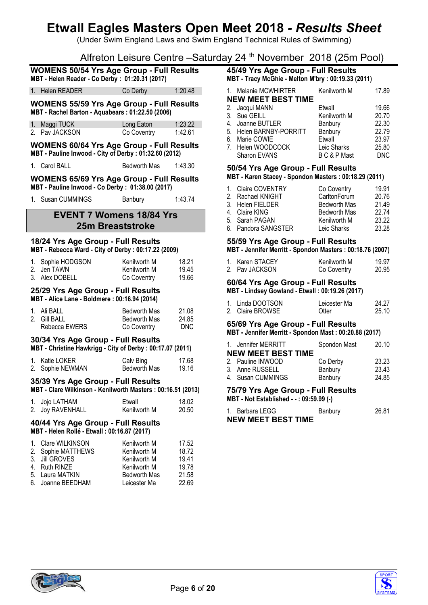(Under Swim England Laws and Swim England Technical Rules of Swimming)

Alfreton Leisure Centre –Saturday 24 th November 2018 (25m Pool)

|                                                                                                   | <b>WOMENS 50/54 Yrs Age Group - Full Results</b><br>MBT - Helen Reader - Co Derby: 01:20.31 (2017)         |                                                              |                                  |  |
|---------------------------------------------------------------------------------------------------|------------------------------------------------------------------------------------------------------------|--------------------------------------------------------------|----------------------------------|--|
|                                                                                                   | 1. Helen READER                                                                                            | Co Derby                                                     | 1:20.48                          |  |
|                                                                                                   | <b>WOMENS 55/59 Yrs Age Group - Full Results</b><br>MBT - Rachel Barton - Aquabears: 01:22.50 (2006)       |                                                              |                                  |  |
|                                                                                                   | 1. Maggi TUCK<br>2. Pav JACKSON                                                                            | Long Eaton<br>Co Coventry                                    | 1:23.22<br>1:42.61               |  |
|                                                                                                   | <b>WOMENS 60/64 Yrs Age Group - Full Results</b><br>MBT - Pauline Inwood - City of Derby : 01:32.60 (2012) |                                                              |                                  |  |
|                                                                                                   | 1. Carol BALL                                                                                              | <b>Bedworth Mas</b>                                          | 1:43.30                          |  |
|                                                                                                   | <b>WOMENS 65/69 Yrs Age Group - Full Results</b><br>MBT - Pauline Inwood - Co Derby: 01:38.00 (2017)       |                                                              |                                  |  |
| $1_{-}$                                                                                           | Susan CUMMINGS                                                                                             | Banbury                                                      | 1:43.74                          |  |
|                                                                                                   | <b>EVENT 7 Womens 18/84 Yrs</b><br><b>25m Breaststroke</b>                                                 |                                                              |                                  |  |
|                                                                                                   | 18/24 Yrs Age Group - Full Results<br>MBT - Rebecca Ward - City of Derby : 00:17.22 (2009)                 |                                                              |                                  |  |
|                                                                                                   | 1. Sophie HODGSON<br>2. Jen TAWN<br>3. Alex DOBELL                                                         | Kenilworth M<br>Kenilworth M<br>Co Coventry                  | 18.21<br>19.45<br>19.66          |  |
|                                                                                                   | 25/29 Yrs Age Group - Full Results<br>MBT - Alice Lane - Boldmere: 00:16.94 (2014)                         |                                                              |                                  |  |
| $1_{-}$<br>2.                                                                                     | Ali BALL<br><b>Gill BALL</b><br>Rebecca EWERS                                                              | Bedworth Mas<br>Bedworth Mas<br>Co Coventry                  | 21.08<br>24.85<br><b>DNC</b>     |  |
|                                                                                                   | 30/34 Yrs Age Group - Full Results<br>MBT - Christine Hawkrigg - City of Derby: 00:17.07 (2011)            |                                                              |                                  |  |
|                                                                                                   | 1. Katie LOKER<br>2. Sophie NEWMAN                                                                         | Calv Bing<br>Bedworth Mas                                    | 17.68<br>19.16                   |  |
| 35/39 Yrs Age Group - Full Results<br>MBT - Clare Wilkinson - Kenilworth Masters: 00:16.51 (2013) |                                                                                                            |                                                              |                                  |  |
| 1.<br>2.                                                                                          | Jojo LATHAM<br><b>Joy RAVENHALL</b>                                                                        | Etwall<br>Kenilworth M                                       | 18.02<br>20.50                   |  |
|                                                                                                   | 40/44 Yrs Age Group - Full Results<br>MBT - Helen Rollé - Etwall: 00:16.87 (2017)                          |                                                              |                                  |  |
| 1.<br>2.<br>3.<br>4.                                                                              | Clare WILKINSON<br>Sophie MATTHEWS<br><b>Jill GROVES</b><br><b>Ruth RINZE</b>                              | Kenilworth M<br>Kenilworth M<br>Kenilworth M<br>Kenilworth M | 17.52<br>18.72<br>19.41<br>19.78 |  |

5. Laura MATKIN Bedworth Mas 21.58

**45/49 Yrs Age Group - Full Results MBT - Tracy McGhie - Melton M'bry : 00:19.33 (2011)**

| 1. Melanie MCWHIRTER      | Kenilworth M | 17.89      |
|---------------------------|--------------|------------|
| <b>NEW MEET BEST TIME</b> |              |            |
| 2. Jacqui MANN            | Etwall       | 19.66      |
| 3. Sue GEILL              | Kenilworth M | 20.70      |
| 4. Joanne BUTLER          | Banbury      | 22.30      |
| 5. Helen BARNBY-PORRITT   | Banbury      | 22.79      |
| 6. Marie COWIE            | Etwall       | 23.97      |
| 7. Helen WOODCOCK         | Leic Sharks  | 25.80      |
| Sharon EVANS              | B C & P Mast | <b>DNC</b> |

## **50/54 Yrs Age Group - Full Results MBT - Karen Stacey - Spondon Masters : 00:18.29 (2011)**

| 1. Claire COVENTRY  | Co Coventry         | 19.91 |
|---------------------|---------------------|-------|
| 2. Rachael KNIGHT   | CarltonForum        | 20.76 |
| 3. Helen FIELDER    | <b>Bedworth Mas</b> | 21.49 |
| 4. Claire KING      | <b>Bedworth Mas</b> | 22.74 |
| 5. Sarah PAGAN      | Kenilworth M        | 23.22 |
| 6. Pandora SANGSTER | Leic Sharks         | 23.28 |
|                     |                     |       |

#### **55/59 Yrs Age Group - Full Results MBT - Jennifer Merritt - Spondon Masters : 00:18.76 (2007)**

| 1. Karen STACEY | Kenilworth M | 19.97 |
|-----------------|--------------|-------|
| 2. Pay JACKSON  | Co Coventry  | 20.95 |

### **60/64 Yrs Age Group - Full Results MBT - Lindsey Gowland - Etwall : 00:19.26 (2017)**

| 1. Linda DOOTSON | Leicester Ma | 24.27 |
|------------------|--------------|-------|
| 2. Claire BROWSE | Otter        | 25.10 |

# **65/69 Yrs Age Group - Full Results**

**MBT - Jennifer Merritt - Spondon Mast : 00:20.88 (2017)**

| 1. Jennifer MERRITT       | Spondon Mast | 20.10 |
|---------------------------|--------------|-------|
| <b>NEW MEET BEST TIME</b> |              |       |
| 2. Pauline INWOOD         | Co Derby     | 23.23 |
| 3. Anne RUSSELL           | Banbury      | 23.43 |
| 4. Susan CUMMINGS         | Banbury      | 24.85 |
|                           |              |       |

#### **75/79 Yrs Age Group - Full Results MBT - Not Established - - : 09:59.99 (-)**

| 1. Barbara LEGG           | Banbury | 26.81 |
|---------------------------|---------|-------|
| <b>NEW MEET BEST TIME</b> |         |       |



6. Joanne BEEDHAM

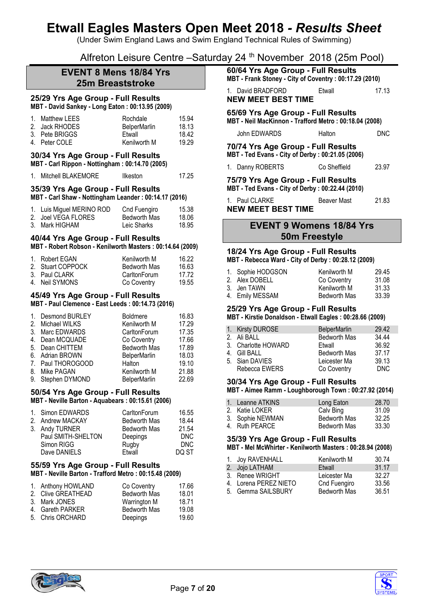(Under Swim England Laws and Swim England Technical Rules of Swimming)

Alfreton Leisure Centre –Saturday 24 th November 2018 (25m Pool)

# **EVENT 8 Mens 18/84 Yrs 25m Breaststroke**

# **25/29 Yrs Age Group - Full Results**

**MBT - David Sankey - Long Eaton : 00:13.95 (2009)**

| 1. Matthew LEES | Rochdale            | 15.94 |
|-----------------|---------------------|-------|
| 2. Jack RHODES  | <b>BelperMarlin</b> | 18.13 |
| 3. Pete BRIGGS  | Etwall              | 18.42 |
| 4. Peter COLE   | Kenilworth M        | 19.29 |

# **30/34 Yrs Age Group - Full Results**

**MBT - Carl Rippon - Nottingham : 00:14.70 (2005)**

| Mitchell BLAKEMORE | Ilkeston | 17.25 |
|--------------------|----------|-------|
|                    |          |       |

#### **35/39 Yrs Age Group - Full Results MBT - Carl Shaw - Nottingham Leander : 00:14.17 (2016)**

| 1. Luis Miguel MERINO ROD | Cnd Fuengiro | 15.38 |
|---------------------------|--------------|-------|
| 2. Joel VEGA FLORES       | Bedworth Mas | 18.06 |
| 3. Mark HIGHAM            | Leic Sharks  | 18.95 |

# **40/44 Yrs Age Group - Full Results**

#### **MBT - Robert Robson - Kenilworth Masters : 00:14.64 (2009)**

| 1. Robert EGAN    | Kenilworth M        | 16.22 |
|-------------------|---------------------|-------|
| 2. Stuart COPPOCK | <b>Bedworth Mas</b> | 16.63 |
| 3. Paul CLARK     | CarltonForum        | 17 72 |
| 4. Neil SYMONS    | Co Coventry         | 19.55 |

#### **45/49 Yrs Age Group - Full Results MBT - Paul Clemence - East Leeds : 00:14.73 (2016)**

| 1. Desmond BURLEY | <b>Boldmere</b>     | 16.83 |
|-------------------|---------------------|-------|
| 2. Michael WILKS  | Kenilworth M        | 17.29 |
| 3. Marc EDWARDS   | CarltonForum        | 17.35 |
| 4. Dean MCQUADE   | Co Coventry         | 17.66 |
| 5. Dean CHITTEM   | <b>Bedworth Mas</b> | 17.89 |
| 6. Adrian BROWN   | <b>BelperMarlin</b> | 18.03 |
| 7. Paul THOROGOOD | Halton              | 19.10 |
| 8. Mike PAGAN     | Kenilworth M        | 21.88 |
| 9. Stephen DYMOND | <b>BelperMarlin</b> | 22.69 |
|                   |                     |       |

## **50/54 Yrs Age Group - Full Results MBT - Neville Barton - Aquabears : 00:15.61 (2006)**

| 1. Simon EDWARDS   | CarltonForum        | 16.55 |
|--------------------|---------------------|-------|
| 2. Andrew MACKAY   | <b>Bedworth Mas</b> | 18.44 |
| 3. Andy TURNER     | <b>Bedworth Mas</b> | 21.54 |
| Paul SMITH-SHELTON | Deepings            | DNC   |
| Simon RIGG         | Rugby               | DNC.  |
| Dave DANIELS       | Etwall              | DO ST |

#### **55/59 Yrs Age Group - Full Results MBT - Neville Barton - Trafford Metro : 00:15.48 (2009)**

| 1. Anthony HOWLAND | Co Coventry         | 17.66 |
|--------------------|---------------------|-------|
| 2. Clive GREATHEAD | <b>Bedworth Mas</b> | 18.01 |
| 3. Mark JONES      | Warrington M        | 18.71 |
| 4. Gareth PARKER   | <b>Bedworth Mas</b> | 19.08 |
| 5. Chris ORCHARD   | Deepings            | 19.60 |

| 60/64 Yrs Age Group - Full Results<br>MBT - Frank Stoney - City of Coventry: 00:17.29 (2010) |                   |        |       |  |
|----------------------------------------------------------------------------------------------|-------------------|--------|-------|--|
|                                                                                              | 1. David BRADFORD | Etwall | 17.13 |  |

# **NEW MEET BEST TIME**

# **65/69 Yrs Age Group - Full Results**

**MBT - Neil MacKinnon - Trafford Metro : 00:18.04 (2008)**

| John EDWARDS | Halton | <b>DNC</b> |
|--------------|--------|------------|
|              |        |            |

#### **70/74 Yrs Age Group - Full Results MBT - Ted Evans - City of Derby : 00:21.05 (2006)**

1. Danny ROBERTS Co Sheffield 23.97

# **75/79 Yrs Age Group - Full Results**

**MBT - Ted Evans - City of Derby : 00:22.44 (2010)** 1. Paul CLARKE Beaver Mast 21.83

**NEW MEET BEST TIME**

# **EVENT 9 Womens 18/84 Yrs 50m Freestyle**

#### **18/24 Yrs Age Group - Full Results MBT - Rebecca Ward - City of Derby : 00:28.12 (2009)**

| 1. Sophie HODGSON | Kenilworth M | 29.45 |
|-------------------|--------------|-------|
| 2. Alex DOBELL    | Co Coventry  | 31.08 |
| 3. Jen TAWN       | Kenilworth M | 31.33 |
| 4. Emily MESSAM   | Bedworth Mas | 33.39 |

# **25/29 Yrs Age Group - Full Results**

**MBT - Kirstie Donaldson - Etwall Eagles : 00:28.66 (2009)**

| 1. Kirsty DUROSE    | <b>BelperMarlin</b> | 29.42 |
|---------------------|---------------------|-------|
| 2. Ali BALL         | Bedworth Mas        | 34.44 |
| 3. Charlotte HOWARD | Etwall              | 36.92 |
| 4. Gill BALL        | <b>Bedworth Mas</b> | 37.17 |
| 5. Sian DAVIES      | Leicester Ma        | 39.13 |
| Rebecca EWERS       | Co Coventry         | DNC.  |

# **30/34 Yrs Age Group - Full Results**

**MBT - Aimee Ramm - Loughborough Town : 00:27.92 (2014)**

| 1. Leanne ATKINS | Long Eaton          | 28.70 |
|------------------|---------------------|-------|
| 2. Katie LOKER   | Calv Bing           | 31.09 |
| 3. Sophie NEWMAN | Bedworth Mas        | 32.25 |
| 4. Ruth PEARCE   | <b>Bedworth Mas</b> | 33.30 |

#### **35/39 Yrs Age Group - Full Results MBT - Mel McWhirter - Kenilworth Masters : 00:28.94 (2008)**

| 1. Joy RAVENHALL      | Kenilworth M        | 30.74 |
|-----------------------|---------------------|-------|
| 2. Jojo LATHAM        | Etwall              | 31.17 |
| 3. Renee WRIGHT       | Leicester Ma        | 32 27 |
| 4. Lorena PEREZ NIETO | Cnd Fuengiro        | 33.56 |
| 5. Gemma SAILSBURY    | <b>Bedworth Mas</b> | 36.51 |



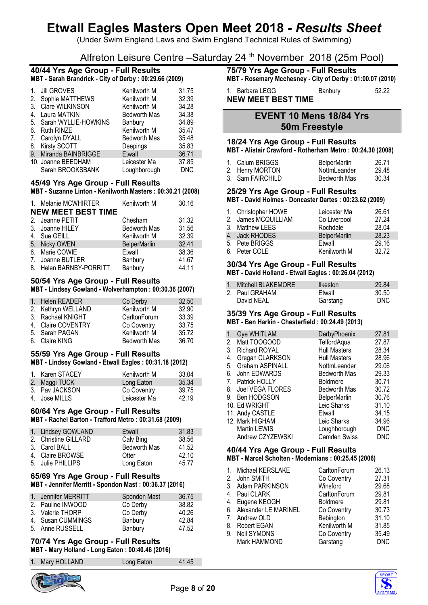(Under Swim England Laws and Swim England Technical Rules of Swimming)

# Alfreton Leisure Centre –Saturday 24 th November 2018 (25m Pool)

## **40/44 Yrs Age Group - Full Results MBT - Sarah Brandrick - City of Derby : 00:29.66 (2009)**

| $\mathbf{1}$ . | <b>Jill GROVES</b>   | Kenilworth M        | 31.75      |
|----------------|----------------------|---------------------|------------|
| 2.             | Sophie MATTHEWS      | Kenilworth M        | 32.39      |
| 3.             | Clare WILKINSON      | Kenilworth M        | 34.28      |
| 4.             | Laura MATKIN         | Bedworth Mas        | 34.38      |
| 5.             | Sarah WYLLIE-HOWKINS | Banbury             | 34.89      |
| 6.             | <b>Ruth RINZE</b>    | Kenilworth M        | 35.47      |
| 7.             | Carolyn DYALL        | <b>Bedworth Mas</b> | 35.48      |
| 8.             | <b>Kirsty SCOTT</b>  | Deepings            | 35.83      |
| 9.             | Miranda BAINBRIGGE   | <b>Etwall</b>       | 36.71      |
|                | 10. Joanne BEEDHAM   | Leicester Ma        | 37.85      |
|                | Sarah BROOKSBANK     | Loughborough        | <b>DNC</b> |

# **45/49 Yrs Age Group - Full Results**

#### **MBT - Suzanne Linton - Kenilworth Masters : 00:30.21 (2008)**

| 1. Melanie MCWHIRTER      | Kenilworth M        | 30.16 |
|---------------------------|---------------------|-------|
| <b>NEW MEET BEST TIME</b> |                     |       |
| 2. Jeanne PETIT           | Chesham             | 31.32 |
| 3. Joanne HILEY           | <b>Bedworth Mas</b> | 31.56 |
| 4. Sue GEILL              | Kenilworth M        | 32.39 |
| 5. Nicky OWEN             | <b>BelperMarlin</b> | 32.41 |
| 6. Marie COWIE            | Etwall              | 38.36 |
| 7. Joanne BUTLER          | Banbury             | 41.67 |
| 8. Helen BARNBY-PORRITT   | Banbury             | 44.11 |

## **50/54 Yrs Age Group - Full Results MBT - Lindsey Gowland - Wolverhampton : 00:30.36 (2007)**

| 1. Helen READER    | Co Derby            | 32.50 |
|--------------------|---------------------|-------|
| 2. Kathryn WELLAND | Kenilworth M        | 32.90 |
| 3. Rachael KNIGHT  | CarltonForum        | 33.39 |
| 4. Claire COVENTRY | Co Coventry         | 33.75 |
| 5. Sarah PAGAN     | Kenilworth M        | 35.72 |
| 6. Claire KING     | <b>Bedworth Mas</b> | 36.70 |

## **55/59 Yrs Age Group - Full Results MBT - Lindsey Gowland - Etwall Eagles : 00:31.18 (2012)**

| 1. Karen STACEY | Kenilworth M | 33.04 |
|-----------------|--------------|-------|
| 2. Maggi TUCK   | Long Eaton   | 35.34 |
| 3. Pay JACKSON  | Co Coventry  | 39.75 |
| 4. Jose MILLS   | Leicester Ma | 42.19 |

# **60/64 Yrs Age Group - Full Results**

**MBT - Rachel Barton - Trafford Metro : 00:31.68 (2009)**

| 1. Lindsey GOWLAND   | Etwall              | 31.83 |
|----------------------|---------------------|-------|
| 2. Christine GILLARD | Calv Bing           | 38.56 |
| 3. Carol BALL        | <b>Bedworth Mas</b> | 41.52 |
| 4. Claire BROWSE     | Otter               | 42.10 |
| 5. Julie PHILLIPS    | Long Eaton          | 45.77 |

# **65/69 Yrs Age Group - Full Results**

## **MBT - Jennifer Merritt - Spondon Mast : 00:36.37 (2016)**

| 1. Jennifer MERRITT | Spondon Mast | 36.75 |
|---------------------|--------------|-------|
| 2. Pauline INWOOD   | Co Derby     | 38.82 |
| 3. Valerie THORP    | Co Derby     | 40.26 |
| 4. Susan CUMMINGS   | Banbury      | 42.84 |
| 5. Anne RUSSELL     | Banbury      | 47.52 |

### **70/74 Yrs Age Group - Full Results MBT - Mary Holland - Long Eaton : 00:40.46 (2016)**

| 1. Mary HOLLAND | Long Eaton | 41.45 |
|-----------------|------------|-------|



# **75/79 Yrs Age Group - Full Results**

**MBT - Rosemary Mcchesney - City of Derby : 01:00.07 (2010)**

#### 1. Barbara LEGG Banbury 52.22 **NEW MEET BEST TIME**

**EVENT 10 Mens 18/84 Yrs 50m Freestyle**

# **18/24 Yrs Age Group - Full Results**

**MBT - Alistair Crawford - Rotherham Metro : 00:24.30 (2008)**

| 1. Calum BRIGGS  | <b>BelperMarlin</b> | 26.71 |
|------------------|---------------------|-------|
| 2. Henry MORTON  | NottmLeander        | 29.48 |
| 3. Sam FAIRCHILD | Bedworth Mas        | 30.34 |

# **25/29 Yrs Age Group - Full Results**

**MBT - David Holmes - Doncaster Dartes : 00:23.62 (2009)**

| 1. Christopher HOWE<br>2. James MCQUILLIAM | Leicester Ma<br>Co Liverpool | 26.61<br>27.24 |
|--------------------------------------------|------------------------------|----------------|
| 3. Matthew LEES                            | Rochdale                     | 28.04          |
| 4. Jack RHODES                             | <b>BelperMarlin</b>          | 28.23          |
| 5. Pete BRIGGS                             | Etwall                       | 29.16          |
| 6. Peter COLE                              | Kenilworth M                 | 3272           |

# **30/34 Yrs Age Group - Full Results**

**MBT - David Holland - Etwall Eagles : 00:26.04 (2012)**

| 1. Mitchell BLAKEMORE | <b>Ilkeston</b> | 29.84 |
|-----------------------|-----------------|-------|
| 2. Paul GRAHAM        | Etwall          | 30.50 |
| David NEAL            | Garstang        | DNC.  |

# **35/39 Yrs Age Group - Full Results**

#### **MBT - Ben Harkin - Chesterfield : 00:24.49 (2013)**

| 1.                               | Gye WHITLAM          | DerbyPhoenix        | 27.81      |
|----------------------------------|----------------------|---------------------|------------|
| 2.                               | Matt TOOGOOD         | TelfordAqua         | 27.87      |
| 3.                               | <b>Richard ROYAL</b> | <b>Hull Masters</b> | 28.34      |
| 4.                               | Gregan CLARKSON      | <b>Hull Masters</b> | 28.96      |
| 5.                               | Graham ASPINALL      | NottmLeander        | 29.06      |
| 6.                               | John EDWARDS         | Bedworth Mas        | 29.33      |
| $7_{\scriptscriptstyle{\ddots}}$ | Patrick HOLLY        | <b>Boldmere</b>     | 30.71      |
| 8.                               | Joel VEGA FLORES     | <b>Bedworth Mas</b> | 30.72      |
| 9.                               | Ben HODGSON          | <b>BelperMarlin</b> | 30.76      |
|                                  | 10. Ed WRIGHT        | Leic Sharks         | 31.10      |
|                                  | 11. Andy CASTLE      | Etwall              | 34.15      |
|                                  | 12. Mark HIGHAM      | Leic Sharks         | 34.96      |
|                                  | Martin LEWIS         | Loughborough        | <b>DNC</b> |
|                                  | Andrew CZYZEWSKI     | <b>Camden Swiss</b> | <b>DNC</b> |

### **40/44 Yrs Age Group - Full Results MBT - Marcel Scholten - Modernians : 00:25.45 (2006)**

| $\mathbf{1}$ . | Michael KERSLAKE        | CarltonForum    | 26.13      |
|----------------|-------------------------|-----------------|------------|
|                | 2. John SMITH           | Co Coventry     | 27.31      |
|                | 3. Adam PARKINSON       | Winsford        | 29.68      |
|                | 4. Paul CLARK           | CarltonForum    | 29.81      |
|                | 4. Eugene KEOGH         | <b>Boldmere</b> | 29.81      |
|                | 6. Alexander LE MARINEL | Co Coventry     | 30.73      |
|                | 7. Andrew OLD           | Bebington       | 31.10      |
|                | 8. Robert EGAN          | Kenilworth M    | 31.85      |
| 9.             | <b>Neil SYMONS</b>      | Co Coventry     | 35.49      |
|                | Mark HAMMOND            | Garstang        | <b>DNC</b> |
|                |                         |                 |            |

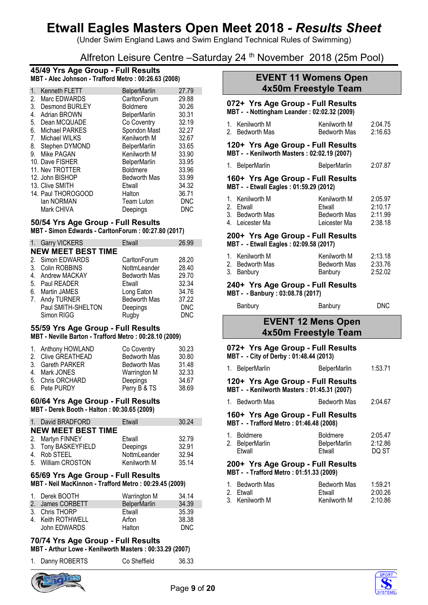(Under Swim England Laws and Swim England Technical Rules of Swimming)

Alfreton Leisure Centre - Saturday 24<sup>th</sup> November 2018 (25m Pool)

### **45/49 Yrs Age Group - Full Results MBT - Alec Johnson - Trafford Metro : 00:26.63 (2008)**

| Kenneth FLETT       | <b>BelperMarlin</b> | 27.79      |
|---------------------|---------------------|------------|
| Marc EDWARDS        | CarltonForum        | 29.88      |
| Desmond BURLEY      | <b>Boldmere</b>     | 30.26      |
| <b>Adrian BROWN</b> | <b>BelperMarlin</b> | 30.31      |
| Dean MCQUADE        | Co Coventry         | 32.19      |
| Michael PARKES      | Spondon Mast        | 32.27      |
| Michael WILKS       | Kenilworth M        | 32.67      |
| Stephen DYMOND      | <b>BelperMarlin</b> | 33.65      |
| Mike PAGAN          | Kenilworth M        | 33.90      |
| 10. Dave FISHER     | <b>BelperMarlin</b> | 33.95      |
| 11. Nev TROTTER     | Boldmere            | 33.96      |
| 12. John BISHOP     | <b>Bedworth Mas</b> | 33.99      |
| 13. Clive SMITH     | Etwall              | 34.32      |
| 14. Paul THOROGOOD  | Halton              | 36.71      |
| lan NORMAN          | <b>Team Luton</b>   | <b>DNC</b> |
| Mark CHIVA          | Deepings            | <b>DNC</b> |
|                     |                     |            |

# **50/54 Yrs Age Group - Full Results**

**MBT - Simon Edwards - CarltonForum : 00:27.80 (2017)**

|    | 1. Garry VICKERS          | Etwall              | 26.99      |
|----|---------------------------|---------------------|------------|
|    | <b>NEW MEET BEST TIME</b> |                     |            |
|    | 2. Simon EDWARDS          | CarltonForum        | 28.20      |
|    | 3. Colin ROBBINS          | NottmLeander        | 28.40      |
|    | 4. Andrew MACKAY          | <b>Bedworth Mas</b> | 29.70      |
|    | 5. Paul READER            | Etwall              | 32.34      |
| 6. | <b>Martin JAMES</b>       | Long Eaton          | 34.76      |
|    | 7. Andy TURNER            | <b>Bedworth Mas</b> | 37.22      |
|    | Paul SMITH-SHELTON        | Deepings            | <b>DNC</b> |
|    | Simon RIGG                | Rugby               | <b>DNC</b> |

#### **55/59 Yrs Age Group - Full Results MBT - Neville Barton - Trafford Metro : 00:28.10 (2009)**

| Co Coventry                                                                                                        | 30.23 |
|--------------------------------------------------------------------------------------------------------------------|-------|
| <b>Bedworth Mas</b>                                                                                                | 30.80 |
| <b>Bedworth Mas</b>                                                                                                | 31.48 |
| Warrington M                                                                                                       | 32.33 |
| Deepings                                                                                                           | 34.67 |
| Perry B & TS                                                                                                       | 38.69 |
| 1. Anthony HOWLAND<br>2. Clive GREATHEAD<br>3. Gareth PARKER<br>4. Mark JONES<br>5. Chris ORCHARD<br>6. Pete PURDY |       |

# **60/64 Yrs Age Group - Full Results**

**MBT - Derek Booth - Halton : 00:30.65 (2009)**

| 1. David BRADFORD         | Etwall       | 30.24 |
|---------------------------|--------------|-------|
| <b>NEW MEET BEST TIME</b> |              |       |
| 2. Martyn FINNEY          | Etwall       | 32.79 |
| 3. Tony BASKEYFIELD       | Deepings     | 32.91 |
| 4. Rob STEEL              | NottmLeander | 32.94 |
| 5. William CROSTON        | Kenilworth M | 35.14 |

# **65/69 Yrs Age Group - Full Results**

**MBT - Neil MacKinnon - Trafford Metro : 00:29.45 (2009)**

| 1. Derek BOOTH    | Warrington M        | 34.14 |
|-------------------|---------------------|-------|
| 2. James CORBETT  | <b>BelperMarlin</b> | 34.39 |
| 3. Chris THORP    | Etwall              | 35.39 |
| 4. Keith ROTHWELL | Arfon               | 38.38 |
| John EDWARDS      | Halton              | DNC.  |

# **70/74 Yrs Age Group - Full Results**

**MBT - Arthur Lowe - Kenilworth Masters : 00:33.29 (2007)**

| 1. Danny ROBERTS | Co Sheffield | 36.33 |
|------------------|--------------|-------|
|                  |              |       |



# **EVENT 11 Womens Open 4x50m Freestyle Team**

# **072+ Yrs Age Group - Full Results**

| MBT - - Nottingham Leander: 02:02.32 (2009) |                 |              |         |  |
|---------------------------------------------|-----------------|--------------|---------|--|
|                                             | 1. Kenilworth M | Kenilworth M | 2:04.75 |  |

|                 | <b>INGHINYOLUTIYE</b> | 2.07.1 <sub>0</sub> |
|-----------------|-----------------------|---------------------|
| 2. Bedworth Mas | <b>Bedworth Mas</b>   | 2:16.63             |
|                 |                       |                     |

#### **120+ Yrs Age Group - Full Results MBT - - Kenilworth Masters : 02:02.19 (2007)**

1. BelperMarlin BelperMarlin 2:07.87

# **160+ Yrs Age Group - Full Results MBT - - Etwall Eagles : 01:59.29 (2012)**

| 1. Kenilworth M | Kenilworth M        | 2:05.97 |
|-----------------|---------------------|---------|
| 2. Etwall       | Etwall              | 2:10.17 |
| 3. Bedworth Mas | <b>Bedworth Mas</b> | 2:11.99 |
| 4. Leicester Ma | Leicester Ma        | 2:38.18 |

### **200+ Yrs Age Group - Full Results MBT - - Etwall Eagles : 02:09.58 (2017)**

| 1. Kenilworth M | Kenilworth M | 2:13.18 |
|-----------------|--------------|---------|
| 2. Bedworth Mas | Bedworth Mas | 2:33.76 |
| 3. Banbury      | Banbury      | 2:52.02 |

# **240+ Yrs Age Group - Full Results**

**MBT - - Banbury : 03:08.78 (2017)**

Banbury **Banbury Banbury DNC** 

# **EVENT 12 Mens Open 4x50m Freestyle Team**

# **072+ Yrs Age Group - Full Results**

**MBT - - City of Derby : 01:48.44 (2013)**

|                                                                              | 1. BelperMarlin                                                                  | <b>BelperMarlin</b>                       | 1:53.71                     |
|------------------------------------------------------------------------------|----------------------------------------------------------------------------------|-------------------------------------------|-----------------------------|
|                                                                              | 120+ Yrs Age Group - Full Results<br>MBT - - Kenilworth Masters: 01:45.31 (2007) |                                           |                             |
|                                                                              | 1. Bedworth Mas                                                                  | Bedworth Mas                              | 2:04.67                     |
|                                                                              | 160+ Yrs Age Group - Full Results<br>MBT - - Trafford Metro : 01:46.48 (2008)    |                                           |                             |
| $\mathbf{1}$ .                                                               | Boldmere<br>2. BelperMarlin<br>Etwall                                            | <b>Boldmere</b><br>BelperMarlin<br>Etwall | 2:05.47<br>2:12.86<br>DQ ST |
| 200+ Yrs Age Group - Full Results<br>MBT - - Trafford Metro: 01:51.33 (2009) |                                                                                  |                                           |                             |

| 1. Bedworth Mas | Bedworth Mas | 1:59.21 |
|-----------------|--------------|---------|
| 2. Etwall       | Etwall       | 2:00.26 |
| 3. Kenilworth M | Kenilworth M | 2:10.86 |

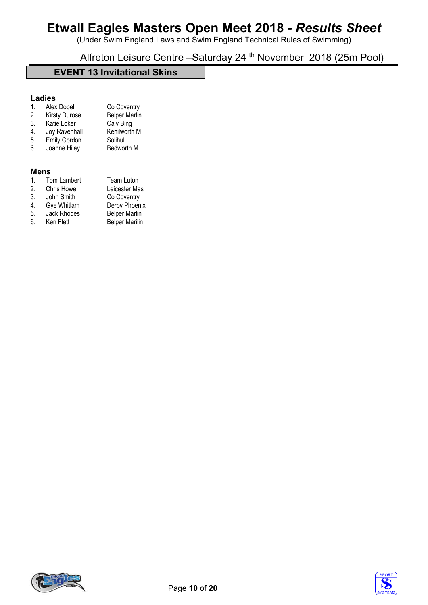(Under Swim England Laws and Swim England Technical Rules of Swimming)

Alfreton Leisure Centre - Saturday 24<sup>th</sup> November 2018 (25m Pool)

# **EVENT 13 Invitational Skins**

# **Ladies**

| Alex Dobell   | Co Coventry          |
|---------------|----------------------|
| Kirety Duroco | <b>Rolper Marlie</b> |

- 2. Kirsty Durose Belper Marlin<br>3. Katie Loker Calv Bing
- **1. Katie Loker** Calv Bing<br>
Joy Ravenhall Kenilworth M
- 4. Joy Ravenhall Kenilwo<br>5. Emily Gordon Solihull
- Emily Gordon Solihull<br>Joanne Hiley Bedworth M 6. Joanne Hiley

# **Mens**

| Tom Lambert        | <b>Team Luton</b>     |
|--------------------|-----------------------|
| <b>Chris Howe</b>  | Leicester Mas         |
| John Smith         | Co Coventry           |
| Gye Whitlam        | Derby Phoenix         |
| <b>Jack Rhodes</b> | <b>Belper Marlin</b>  |
| Ken Flett          | <b>Belper Marilin</b> |
|                    |                       |



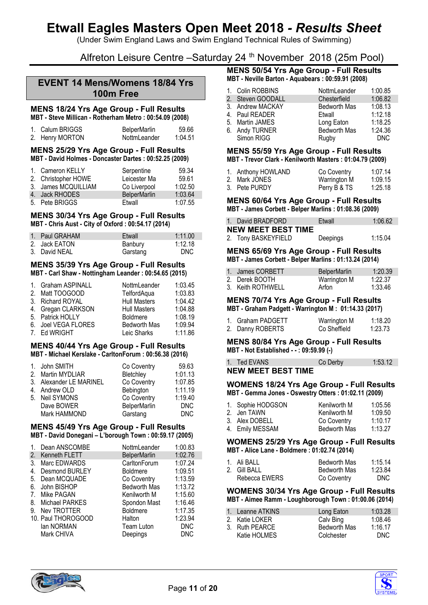(Under Swim England Laws and Swim England Technical Rules of Swimming)

Alfreton Leisure Centre –Saturday 24 th November 2018 (25m Pool)

# **EVENT 14 Mens/Womens 18/84 Yrs 100m Free**

#### **MENS 18/24 Yrs Age Group - Full Results MBT - Steve Millican - Rotherham Metro : 00:54.09 (2008)**

| 1. Calum BRIGGS | <b>BelperMarlin</b> | 59.66   |
|-----------------|---------------------|---------|
| 2. Henry MORTON | NottmLeander        | 1:04.51 |

#### **MENS 25/29 Yrs Age Group - Full Results MBT - David Holmes - Doncaster Dartes : 00:52.25 (2009)**

| 1. Cameron KELLY<br>2. Christopher HOWE | Serpentine<br>Leicester Ma | 59.34<br>59.61 |
|-----------------------------------------|----------------------------|----------------|
| 3. James MCQUILLIAM                     | Co Liverpool               | 1:02.50        |
| 4. Jack RHODES                          | <b>BelperMarlin</b>        | 1:03.64        |
| 5. Pete BRIGGS                          | Etwall                     | 1:07.55        |

#### **MENS 30/34 Yrs Age Group - Full Results MBT - Chris Aust - City of Oxford : 00:54.17 (2014)**

| 1. Paul GRAHAM | Etwall   | 1:11.00    |
|----------------|----------|------------|
| 2. Jack EATON  | Banbury  | 1:12.18    |
| 3. David NEAL  | Garstang | <b>DNC</b> |

## **MENS 35/39 Yrs Age Group - Full Results MBT - Carl Shaw - Nottingham Leander : 00:54.65 (2015)**

| 1. Graham ASPINALL  | NottmLeander        | 1:03.45 |
|---------------------|---------------------|---------|
| 2. Matt TOOGOOD     | TelfordAqua         | 1:03.83 |
| 3. Richard ROYAL    | <b>Hull Masters</b> | 1:04.42 |
| 4. Gregan CLARKSON  | <b>Hull Masters</b> | 1:04.88 |
| 5. Patrick HOLLY    | <b>Boldmere</b>     | 1:08.19 |
| 6. Joel VEGA FLORES | <b>Bedworth Mas</b> | 1:09.94 |
| 7. Ed WRIGHT        | Leic Sharks         | 1:11.86 |
|                     |                     |         |

## **MENS 40/44 Yrs Age Group - Full Results MBT - Michael Kerslake - CarltonForum : 00:56.38 (2016)**

| 1. John SMITH           | Co Coventry         | 59.63      |
|-------------------------|---------------------|------------|
| 2. Martin MYDLIAR       | Bletchley           | 1:01.13    |
| 3. Alexander LE MARINEL | Co Coventry         | 1:07.85    |
| 4. Andrew OLD           | Bebington           | 1:11.19    |
| 5. Neil SYMONS          | Co Coventry         | 1:19.40    |
| Dave BOWER              | <b>BelperMarlin</b> | <b>DNC</b> |
| Mark HAMMOND            | Garstang            | <b>DNC</b> |

### **MENS 45/49 Yrs Age Group - Full Results MBT - David Donegani – L'borough Town : 00:59.17 (2005)**

| 1.                             | Dean ANSCOMBE         | NottmLeander        | 1:00.83    |
|--------------------------------|-----------------------|---------------------|------------|
| 2.                             | Kenneth FLETT         | <b>BelperMarlin</b> | 1:02.76    |
| 3.                             | Marc EDWARDS          | CarltonForum        | 1:07.24    |
| 4.                             | <b>Desmond BURLEY</b> | <b>Boldmere</b>     | 1:09.51    |
| 5.                             | Dean MCQUADE          | Co Coventry         | 1:13.59    |
| 6.                             | John BISHOP           | <b>Bedworth Mas</b> | 1:13.72    |
| $7_{\scriptscriptstyle{\sim}}$ | Mike PAGAN            | Kenilworth M        | 1:15.60    |
| 8.                             | Michael PARKES        | Spondon Mast        | 1:16.46    |
| 9.                             | Nev TROTTER           | <b>Boldmere</b>     | 1:17.35    |
|                                | 10. Paul THOROGOOD    | Halton              | 1:23.94    |
|                                | lan NORMAN            | <b>Team Luton</b>   | <b>DNC</b> |
|                                | Mark CHIVA            | Deepings            | <b>DNC</b> |
|                                |                       |                     |            |

## **MENS 50/54 Yrs Age Group - Full Results MBT - Neville Barton - Aquabears : 00:59.91 (2008)**

| 1. Colin ROBBINS  | NottmLeander        | 1:00.85    |
|-------------------|---------------------|------------|
| 2. Steven GOODALL | Chesterfield        | 1:06.82    |
| 3. Andrew MACKAY  | <b>Bedworth Mas</b> | 1:08.13    |
| 4. Paul READER    | Etwall              | 1:12.18    |
| 5. Martin JAMES   | Long Eaton          | 1:18.25    |
| 6. Andy TURNER    | Bedworth Mas        | 1:24.36    |
| Simon RIGG        | Rugby               | <b>DNC</b> |

#### **MENS 55/59 Yrs Age Group - Full Results MBT - Trevor Clark - Kenilworth Masters : 01:04.79 (2009)**

| 1. Anthony HOWLAND | Co Coventry  | 1:07.14 |
|--------------------|--------------|---------|
| 2. Mark JONES      | Warrington M | 1:09.15 |
| 3. Pete PURDY      | Perry B & TS | 1:25.18 |

### **MENS 60/64 Yrs Age Group - Full Results MBT - James Corbett - Belper Marlins : 01:08.36 (2009)**

| 1. David BRADFORD         | Etwall   | 1:06.62 |
|---------------------------|----------|---------|
| <b>NEW MEET BEST TIME</b> |          |         |
| 2. Tony BASKEYFIELD       | Deepings | 1:15.04 |

#### **MENS 65/69 Yrs Age Group - Full Results MBT - James Corbett - Belper Marlins : 01:13.24 (2014)**

| 1. James CORBETT  | <b>BelperMarlin</b> | 1:20.39 |
|-------------------|---------------------|---------|
| 2. Derek BOOTH    | Warrington M        | 1:22.37 |
| 3. Keith ROTHWELL | Arfon               | 1:33.46 |

# **MENS 70/74 Yrs Age Group - Full Results**

# **MBT - Graham Padgett - Warrington M : 01:14.33 (2017)**

| 1. Graham PADGETT | Warrington M | 1:18.20 |
|-------------------|--------------|---------|
| 2. Danny ROBERTS  | Co Sheffield | 1:23.73 |

#### **MENS 80/84 Yrs Age Group - Full Results MBT - Not Established - - : 09:59.99 (-)**

1. Ted EVANS Co Derby 1:53.12

# **NEW MEET BEST TIME**

#### **WOMENS 18/24 Yrs Age Group - Full Results MBT - Gemma Jones - Oswestry Otters : 01:02.11 (2009)**

| 1. Sophie HODGSON | Kenilworth M        | 1:05.56 |
|-------------------|---------------------|---------|
| 2. Jen TAWN       | Kenilworth M        | 1:09.50 |
| 3. Alex DOBELL    | Co Coventry         | 1:10.17 |
| 4. Emily MESSAM   | <b>Bedworth Mas</b> | 1:13.27 |

### **WOMENS 25/29 Yrs Age Group - Full Results MBT - Alice Lane - Boldmere : 01:02.74 (2014)**

| 1. Ali BALL   | Bedworth Mas | 1:15.14    |
|---------------|--------------|------------|
| 2. Gill BALL  | Bedworth Mas | 1:23.84    |
| Rebecca EWERS | Co Coventry  | <b>DNC</b> |

#### **WOMENS 30/34 Yrs Age Group - Full Results MBT - Aimee Ramm - Loughborough Town : 01:00.06 (2014)**

| 1. Leanne ATKINS | Long Eaton          | 1:03.28 |
|------------------|---------------------|---------|
| 2. Katie LOKER   | Calv Bing           | 1:08.46 |
| 3. Ruth PEARCE   | <b>Bedworth Mas</b> | 1:16.17 |
| Katie HOLMES     | Colchester          | DNC.    |



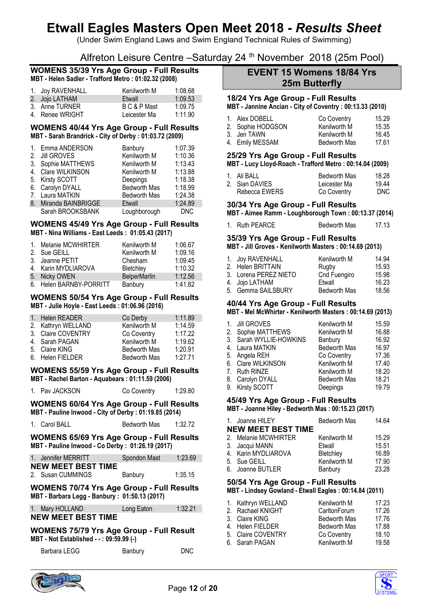(Under Swim England Laws and Swim England Technical Rules of Swimming)

Alfreton Leisure Centre - Saturday 24<sup>th</sup> November 2018 (25m Pool)

## **WOMENS 35/39 Yrs Age Group - Full Results MBT - Helen Sadler - Trafford Metro : 01:02.32 (2008)**

| 1. Joy RAVENHALL | Kenilworth M | 1:08.68 |
|------------------|--------------|---------|
| 2. Jojo LATHAM   | Etwall       | 1:09.53 |
| 3. Anne TURNER   | B C & P Mast | 1:09.75 |
| 4. Renee WRIGHT  | Leicester Ma | 1:11.90 |

### **WOMENS 40/44 Yrs Age Group - Full Results MBT - Sarah Brandrick - City of Derby : 01:03.72 (2009)**

|    | 1. Emma ANDERSON   | Banbury             | 1:07.39    |
|----|--------------------|---------------------|------------|
|    | 2. Jill GROVES     | Kenilworth M        | 1:10.36    |
|    | 3. Sophie MATTHEWS | Kenilworth M        | 1:13.43    |
|    | 4. Clare WILKINSON | Kenilworth M        | 1:13.88    |
|    | 5. Kirsty SCOTT    | Deepings            | 1:18.38    |
|    | 6. Carolyn DYALL   | <b>Bedworth Mas</b> | 1:18.99    |
|    | 7. Laura MATKIN    | <b>Bedworth Mas</b> | 1:24.38    |
| 8. | Miranda BAINBRIGGE | Etwall              | 1:24.89    |
|    | Sarah BROOKSBANK   | Loughborough        | <b>DNC</b> |

# **WOMENS 45/49 Yrs Age Group - Full Results**

**MBT - Nina Williams - East Leeds : 01:05.43 (2017)**

| 1. Melanie MCWHIRTER    | Kenilworth M        | 1:06.67 |
|-------------------------|---------------------|---------|
| 2. Sue GEILL            | Kenilworth M        | 1:09.16 |
| 3. Jeanne PETIT         | Chesham             | 1:09.45 |
| 4. Karin MYDLIAROVA     | Bletchley           | 1:10.32 |
| 5. Nicky OWEN           | <b>BelperMarlin</b> | 1:12.56 |
| 6. Helen BARNBY-PORRITT | Banbury             | 1:41.82 |

## **WOMENS 50/54 Yrs Age Group - Full Results MBT - Julie Hoyle - East Leeds : 01:06.96 (2016)**

| 1. Helen READER    | Co Derby            | 1:11.89 |
|--------------------|---------------------|---------|
| 2. Kathryn WELLAND | Kenilworth M        | 1:14.59 |
| 3. Claire COVENTRY | Co Coventry         | 1:17.22 |
| 4. Sarah PAGAN     | Kenilworth M        | 1:19.62 |
| 5. Claire KING     | <b>Bedworth Mas</b> | 1:20.91 |
| 6. Helen FIELDER   | <b>Bedworth Mas</b> | 1:27.71 |

### **WOMENS 55/59 Yrs Age Group - Full Results MBT - Rachel Barton - Aquabears : 01:11.59 (2006)**

1. Pav JACKSON Co Coventry 1:29.80

## **WOMENS 60/64 Yrs Age Group - Full Results MBT - Pauline Inwood - City of Derby : 01:19.85 (2014)**

| 1. Carol BALL | Bedworth Mas | 1:32.72 |
|---------------|--------------|---------|

# **WOMENS 65/69 Yrs Age Group - Full Results MBT - Pauline Inwood - Co Derby : 01:26.19 (2017)**

| 1. Jennifer MERRITT       | Spondon Mast | 1:23.69 |
|---------------------------|--------------|---------|
| <b>NEW MEET BEST TIME</b> |              |         |
| 2. Susan CUMMINGS         | Banbury      | 1:35.15 |

# **WOMENS 70/74 Yrs Age Group - Full Results MBT - Barbara Legg - Banbury : 01:50.13 (2017)**

| 1. Mary HOLLAND           | Long Eaton | 1:32.21 |
|---------------------------|------------|---------|
| <b>NEW MEET BEST TIME</b> |            |         |

# **WOMENS 75/79 Yrs Age Group - Full Result MBT - Not Established - - : 09:59.99 (-)**

| Barbara LEGG | Banbury | <b>DNC</b> |
|--------------|---------|------------|
|              |         |            |

# **EVENT 15 Womens 18/84 Yrs 25m Butterfly**

# **18/24 Yrs Age Group - Full Results**

**MBT - Jannine Ancian - City of Coventry : 00:13.33 (2010)**

| 1. Alex DOBELL    | Co Coventry         | 15.29 |
|-------------------|---------------------|-------|
| 2. Sophie HODGSON | Kenilworth M        | 15.35 |
| 3. Jen TAWN       | Kenilworth M        | 16.45 |
| 4. Emily MESSAM   | <b>Bedworth Mas</b> | 17.61 |

# **25/29 Yrs Age Group - Full Results**

# **MBT - Lucy Lloyd-Roach - Trafford Metro : 00:14.04 (2009)**

| 1. Ali BALL    | Bedworth Mas | 18.28 |
|----------------|--------------|-------|
| 2. Sian DAVIES | Leicester Ma | 19.44 |
| Rebecca EWERS  | Co Coventry  | DNC.  |

# **30/34 Yrs Age Group - Full Results**

**MBT - Aimee Ramm - Loughborough Town : 00:13.37 (2014)**

| 1. Ruth PEARCE | <b>Bedworth Mas</b> | 17.13 |
|----------------|---------------------|-------|
|                |                     |       |

## **35/39 Yrs Age Group - Full Results MBT - Jill Groves - Kenilworth Masters : 00:14.69 (2013)**

| 1. Joy RAVENHALL      | Kenilworth M        | 14.94 |
|-----------------------|---------------------|-------|
| 2. Helen BRITTAIN     | Rugby               | 15.93 |
| 3. Lorena PEREZ NIETO | Cnd Fuengiro        | 15.98 |
| 4. Jojo LATHAM        | Etwall              | 16.23 |
| 5. Gemma SAILSBURY    | <b>Bedworth Mas</b> | 18.56 |

#### **40/44 Yrs Age Group - Full Results MBT - Mel McWhirter - Kenilworth Masters : 00:14.69 (2013)**

| $\mathbf{1}$ . | <b>Jill GROVES</b>      | Kenilworth M        | 15.59 |
|----------------|-------------------------|---------------------|-------|
|                | 2. Sophie MATTHEWS      | Kenilworth M        | 16.88 |
|                | 3. Sarah WYLLIE-HOWKINS | Banbury             | 16.92 |
|                | 4. Laura MATKIN         | <b>Bedworth Mas</b> | 16.97 |
|                | 5. Angela REH           | Co Coventry         | 17.36 |
|                | 6. Clare WILKINSON      | Kenilworth M        | 17.40 |
|                | 7. Ruth RINZE           | Kenilworth M        | 18.20 |
|                | 8. Carolyn DYALL        | <b>Bedworth Mas</b> | 18.21 |
| 9.             | Kirsty SCOTT            | Deepings            | 19.79 |
|                |                         |                     |       |

# **45/49 Yrs Age Group - Full Results**

**MBT - Joanne Hiley - Bedworth Mas : 00:15.23 (2017)**

| 1. Joanne HILEY           | <b>Bedworth Mas</b> | 14.64 |
|---------------------------|---------------------|-------|
| <b>NEW MEET BEST TIME</b> |                     |       |
| 2. Melanie MCWHIRTER      | Kenilworth M        | 15.29 |
| 3. Jacqui MANN            | Etwall              | 15.51 |
| 4. Karin MYDLIAROVA       | Bletchley           | 16.89 |
| 5. Sue GEILL              | Kenilworth M        | 17.90 |
| 6. Joanne BUTLER          | Banbury             | 23.28 |
|                           |                     |       |

### **50/54 Yrs Age Group - Full Results MBT - Lindsey Gowland - Etwall Eagles : 00:14.84 (2011)**

| 1. Kathryn WELLAND | Kenilworth M        | 17.23 |
|--------------------|---------------------|-------|
| 2. Rachael KNIGHT  | CarltonForum        | 17.26 |
| 3. Claire KING     | <b>Bedworth Mas</b> | 17.76 |
| 4. Helen FIELDER   | <b>Bedworth Mas</b> | 17.88 |
| 5. Claire COVENTRY | Co Coventry         | 18.10 |
| 6. Sarah PAGAN     | Kenilworth M        | 19.58 |
|                    |                     |       |



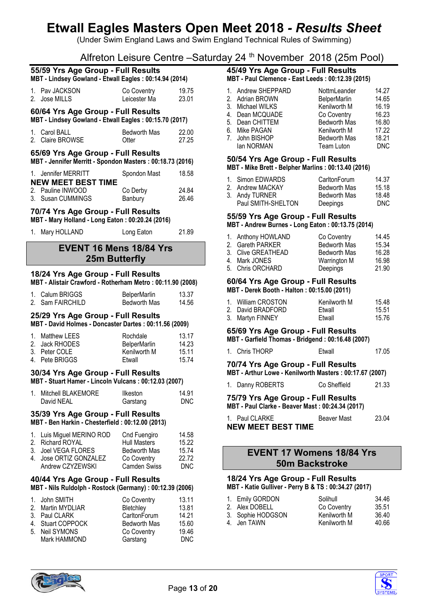(Under Swim England Laws and Swim England Technical Rules of Swimming)

Alfreton Leisure Centre –Saturday 24 th November 2018 (25m Pool)

|                                                                                        | 55/59 Yrs Age Group - Full Results<br>MBT - Lindsey Gowland - Etwall Eagles: 00:14.94 (2014)     |                             |                |  |
|----------------------------------------------------------------------------------------|--------------------------------------------------------------------------------------------------|-----------------------------|----------------|--|
|                                                                                        | 1. Pav JACKSON<br>2. Jose MILLS                                                                  | Co Coventry<br>Leicester Ma | 19.75<br>23.01 |  |
|                                                                                        | 60/64 Yrs Age Group - Full Results<br>MBT - Lindsey Gowland - Etwall Eagles: 00:15.70 (2017)     |                             |                |  |
|                                                                                        | 1. Carol BALL<br>2. Claire BROWSE                                                                | Bedworth Mas<br>Otter       | 22.00<br>27.25 |  |
|                                                                                        | 65/69 Yrs Age Group - Full Results<br>MBT - Jennifer Merritt - Spondon Masters : 00:18.73 (2016) |                             |                |  |
|                                                                                        | 1. Jennifer MERRITT<br><b>NEW MEET BEST TIME</b>                                                 | Spondon Mast                | 18.58          |  |
|                                                                                        | 2. Pauline INWOOD<br>3. Susan CUMMINGS                                                           | Co Derby<br>Banbury         | 24.84<br>26.46 |  |
| 70/74 Yrs Age Group - Full Results<br>MBT - Mary Holland - Long Eaton: 00:20.24 (2016) |                                                                                                  |                             |                |  |
|                                                                                        | 1. Mary HOLLAND                                                                                  | Long Eaton                  | 21.89          |  |

# **EVENT 16 Mens 18/84 Yrs 25m Butterfly**

# **18/24 Yrs Age Group - Full Results**

| 1. Calum BRIGGS  | <b>BelperMarlin</b> | 13.37 |
|------------------|---------------------|-------|
| 2. Sam FAIRCHILD | Bedworth Mas        | 14.56 |

# **25/29 Yrs Age Group - Full Results**

**MBT - David Holmes - Doncaster Dartes : 00:11.56 (2009)**

| 1. Matthew LEES | Rochdale            | 13.17 |
|-----------------|---------------------|-------|
| 2. Jack RHODES  | <b>BelperMarlin</b> | 14.23 |
| 3. Peter COLE   | Kenilworth M        | 15.11 |
| 4. Pete BRIGGS  | Etwall              | 15.74 |

# **30/34 Yrs Age Group - Full Results**

| MBT - Stuart Hamer - Lincoln Vulcans: 00:12.03 (2007) |  |
|-------------------------------------------------------|--|
|-------------------------------------------------------|--|

| 1. Mitchell BLAKEMORE | Ilkeston | 14.91      |
|-----------------------|----------|------------|
| David NEAL            | Garstang | <b>DNC</b> |

# **35/39 Yrs Age Group - Full Results**

**MBT - Ben Harkin - Chesterfield : 00:12.00 (2013)**

| 1. Luis Miguel MERINO ROD | Cnd Fuengiro        | 14.58 |
|---------------------------|---------------------|-------|
| 2. Richard ROYAL          | <b>Hull Masters</b> | 15.22 |
| 3. Joel VEGA FLORES       | <b>Bedworth Mas</b> | 15.74 |
| 4. Jose ORTIZ GONZALEZ    | Co Coventry         | 22.72 |
| Andrew CZYZEWSKI          | <b>Camden Swiss</b> | DNC.  |

## **40/44 Yrs Age Group - Full Results MBT - Nils Ruldolph - Rostock (Germany) : 00:12.39 (2006)**

| 1. John SMITH     | Co Coventry         | 13.11 |
|-------------------|---------------------|-------|
| 2. Martin MYDLIAR | Bletchley           | 13.81 |
| 3. Paul CLARK     | CarltonForum        | 14.21 |
| 4. Stuart COPPOCK | <b>Bedworth Mas</b> | 15.60 |
| 5. Neil SYMONS    | Co Coventry         | 19.46 |
| Mark HAMMOND      | Garstang            | DNC   |

# **45/49 Yrs Age Group - Full Results MBT - Paul Clemence - East Leeds : 00:12.39 (2015)**

| 1. Andrew SHEPPARD | NottmLeander        | 14.27 |
|--------------------|---------------------|-------|
| 2. Adrian BROWN    | <b>BelperMarlin</b> | 14.65 |
| 3. Michael WILKS   | Kenilworth M        | 16.19 |
| 4. Dean MCQUADE    | Co Coventry         | 16.23 |
| 5. Dean CHITTEM    | <b>Bedworth Mas</b> | 16.80 |
| 6. Mike PAGAN      | Kenilworth M        | 17.22 |
| 7. John BISHOP     | <b>Bedworth Mas</b> | 18.21 |
| lan NORMAN         | Team Luton          | DNC   |
|                    |                     |       |

# **50/54 Yrs Age Group - Full Results**

**MBT - Mike Brett - Belpher Marlins : 00:13.40 (2016)**

| 1. Simon EDWARDS   | CarltonForum        | 14.37 |
|--------------------|---------------------|-------|
| 2. Andrew MACKAY   | Bedworth Mas        | 15.18 |
| 3. Andy TURNER     | <b>Bedworth Mas</b> | 18.48 |
| Paul SMITH-SHELTON | Deepings            | DNC.  |

# **55/59 Yrs Age Group - Full Results**

**MBT - Andrew Burnes - Long Eaton : 00:13.75 (2014)**

| 1. Anthony HOWLAND | Co Coventry         | 14.45 |
|--------------------|---------------------|-------|
| 2. Gareth PARKER   | Bedworth Mas        | 15.34 |
| 3. Clive GREATHEAD | <b>Bedworth Mas</b> | 16.28 |
| 4. Mark JONES      | Warrington M        | 16.98 |
| 5. Chris ORCHARD   | Deepings            | 21.90 |

#### **60/64 Yrs Age Group - Full Results MBT - Derek Booth - Halton : 00:15.00 (2011)**

| 1. William CROSTON | Kenilworth M | 15.48 |
|--------------------|--------------|-------|
| 2. David BRADFORD  | Etwall       | 15.51 |
| 3. Martyn FINNEY   | Ftwall       | 15.76 |

# **65/69 Yrs Age Group - Full Results**

| 1. Chris THORP<br>Etwall | 17.05 |
|--------------------------|-------|
|--------------------------|-------|

#### **70/74 Yrs Age Group - Full Results MBT - Arthur Lowe - Kenilworth Masters : 00:17.67 (2007)**

| 1. Danny ROBERTS | Co Sheffield | 21.33 |
|------------------|--------------|-------|

|  |  | 75/79 Yrs Age Group - Full Results |  |
|--|--|------------------------------------|--|

**MBT - Paul Clarke - Beaver Mast : 00:24.34 (2017)**

| 1. Paul CLARKE            | <b>Beaver Mast</b> | 23.04 |
|---------------------------|--------------------|-------|
| <b>NEW MEET BEST TIME</b> |                    |       |

# **EVENT 17 Womens 18/84 Yrs 50m Backstroke**

#### **18/24 Yrs Age Group - Full Results MBT - Katie Gulliver - Perry B & TS : 00:34.27 (2017)**

| 1. Emily GORDON   | Solihull     | 34.46 |  |  |
|-------------------|--------------|-------|--|--|
| 2. Alex DOBELL    | Co Coventry  | 35.51 |  |  |
| 3. Sophie HODGSON | Kenilworth M | 36.40 |  |  |
| 4. Jen TAWN       | Kenilworth M | 40.66 |  |  |
|                   |              |       |  |  |



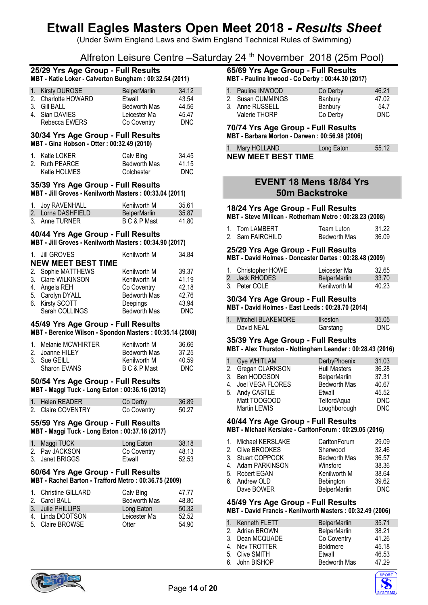(Under Swim England Laws and Swim England Technical Rules of Swimming)

# Alfreton Leisure Centre –Saturday 24 th November 2018 (25m Pool)

## **25/29 Yrs Age Group - Full Results MBT - Katie Loker - Calverton Bungham : 00:32.54 (2011)**

| 1. Kirsty DUROSE    | <b>BelperMarlin</b> | 34.12 |
|---------------------|---------------------|-------|
| 2. Charlotte HOWARD | Etwall              | 43.54 |
| 3. Gill BALL        | <b>Bedworth Mas</b> | 44.56 |
| 4. Sian DAVIES      | Leicester Ma        | 45.47 |
| Rebecca EWERS       | Co Coventry         | DNC.  |

# **30/34 Yrs Age Group - Full Results**

**MBT - Gina Hobson - Otter : 00:32.49 (2010)**

| 1. Katie LOKER | Calv Bing    | 34.45 |
|----------------|--------------|-------|
| 2. Ruth PEARCE | Bedworth Mas | 41.15 |
| Katie HOLMES   | Colchester   | DNC.  |

# **35/39 Yrs Age Group - Full Results**

**MBT - Jill Groves - Kenilworth Masters : 00:33.04 (2011)**

| 1. Joy RAVENHALL   | Kenilworth M        | 35.61 |
|--------------------|---------------------|-------|
| 2. Lorna DASHFIELD | <b>BelperMarlin</b> | 35.87 |
| 3. Anne TURNER     | B C & P Mast        | 41.80 |

# **40/44 Yrs Age Group - Full Results**

**MBT - Jill Groves - Kenilworth Masters : 00:34.90 (2017)**

| 1. Jill GROVES            | Kenilworth M        | 34.84      |
|---------------------------|---------------------|------------|
| <b>NEW MEET BEST TIME</b> |                     |            |
| 2. Sophie MATTHEWS        | Kenilworth M        | 39.37      |
| 3. Clare WILKINSON        | Kenilworth M        | 41.19      |
| 4. Angela REH             | Co Coventry         | 42.18      |
| 5. Carolyn DYALL          | <b>Bedworth Mas</b> | 42.76      |
| 6. Kirsty SCOTT           | Deepings            | 43.94      |
| Sarah COLLINGS            | <b>Bedworth Mas</b> | <b>DNC</b> |

## **45/49 Yrs Age Group - Full Results**

**MBT - Berenice Wilson - Spondon Masters : 00:35.14 (2008)**

| 1. Melanie MCWHIRTER | Kenilworth M        | 36.66 |
|----------------------|---------------------|-------|
| 2. Joanne HILEY      | <b>Bedworth Mas</b> | 37.25 |
| 3. Sue GEILL         | Kenilworth M        | 40.59 |
| Sharon EVANS         | B C & P Mast        | DNC.  |

### **50/54 Yrs Age Group - Full Results MBT - Maggi Tuck - Long Eaton : 00:36.16 (2012)**

| 1. Helen READER    | Co Derby    | 36.89 |
|--------------------|-------------|-------|
| 2. Claire COVENTRY | Co Coventry | 50.27 |

#### **55/59 Yrs Age Group - Full Results MBT - Maggi Tuck - Long Eaton : 00:37.18 (2017)**

| 1. Maggi TUCK   | Long Eaton  | 38.18 |
|-----------------|-------------|-------|
| 2. Pay JACKSON  | Co Coventry | 48.13 |
| 3. Janet BRIGGS | Etwall      | 52.53 |

# **60/64 Yrs Age Group - Full Results MBT - Rachel Barton - Trafford Metro : 00:36.75 (2009)**

| 1. Christine GILLARD<br>2. Carol BALL | Calv Bing<br><b>Bedworth Mas</b> | 47.77<br>48.80 |
|---------------------------------------|----------------------------------|----------------|
| 3. Julie PHILLIPS                     | Long Eaton                       | 50.32          |
| 4. Linda DOOTSON                      | Leicester Ma                     | 52.52          |
| 5. Claire BROWSE                      | Otter                            | 54.90          |

#### **65/69 Yrs Age Group - Full Results MBT - Pauline Inwood - Co Derby : 00:44.30 (2017)**

| 1. Pauline INWOOD | Co Derby | 46.21 |
|-------------------|----------|-------|
| 2. Susan CUMMINGS | Banbury  | 47.02 |
| 3. Anne RUSSELL   | Banbury  | 54.7  |
| Valerie THORP     | Co Derby | DNC.  |

### **70/74 Yrs Age Group - Full Results MBT - Barbara Morton - Darwen : 00:56.98 (2006)**

| 1. Mary HOLLAND           | Long Eaton | 55.12 |
|---------------------------|------------|-------|
| <b>NEW MEET BEST TIME</b> |            |       |

# **EVENT 18 Mens 18/84 Yrs 50m Backstroke**

# **18/24 Yrs Age Group - Full Results**

**MBT - Steve Millican - Rotherham Metro : 00:28.23 (2008)**

| 1. Tom LAMBERT   | Team Luton   | 31.22 |
|------------------|--------------|-------|
| 2. Sam FAIRCHILD | Bedworth Mas | 36.09 |

# **25/29 Yrs Age Group - Full Results**

**MBT - David Holmes - Doncaster Dartes : 00:28.48 (2009)**

| 1. Christopher HOWE | Leicester Ma        | 32.65 |
|---------------------|---------------------|-------|
| 2. Jack RHODES.     | <b>BelperMarlin</b> | 33.70 |
| 3. Peter COLE       | Kenilworth M        | 40.23 |

# **30/34 Yrs Age Group - Full Results**

**MBT - David Holmes - East Leeds : 00:28.70 (2014)**

| Mitchell BLAKEMORE | <b>Ilkeston</b> | 35.05      |
|--------------------|-----------------|------------|
| David NEAL         | Garstang        | <b>DNC</b> |

#### **35/39 Yrs Age Group - Full Results MBT - Alex Thurston - Nottingham Leander : 00:28.43 (2016)**

|              | DerbyPhoenix                                                                                    | 31.03      |
|--------------|-------------------------------------------------------------------------------------------------|------------|
|              | <b>Hull Masters</b>                                                                             | 36.28      |
|              | <b>BelperMarlin</b>                                                                             | 37.31      |
|              | <b>Bedworth Mas</b>                                                                             | 40.67      |
|              | Etwall                                                                                          | 45.52      |
| Matt TOOGOOD | TelfordAqua                                                                                     | <b>DNC</b> |
| Martin LEWIS | Loughborough                                                                                    | <b>DNC</b> |
|              | 1. Gye WHITLAM<br>2. Gregan CLARKSON<br>3. Ben HODGSON<br>4. Joel VEGA FLORES<br>5. Andy CASTLE |            |

### **40/44 Yrs Age Group - Full Results MBT - Michael Kerslake - CarltonForum : 00:29.05 (2016)**

| 1. Michael KERSLAKE | CarltonForum        | 29.09      |
|---------------------|---------------------|------------|
| 2. Clive BROOKES    | Sherwood            | 32.46      |
| 3. Stuart COPPOCK   | <b>Bedworth Mas</b> | 36.57      |
| 4. Adam PARKINSON   | Winsford            | 38.36      |
| 5. Robert EGAN      | Kenilworth M        | 38.64      |
| 6. Andrew OLD       | Bebington           | 39.62      |
| Dave BOWER          | <b>BelperMarlin</b> | <b>DNC</b> |
|                     |                     |            |

# **45/49 Yrs Age Group - Full Results**

**MBT - David Francis - Kenilworth Masters : 00:32.49 (2006)**

| 1. Kenneth FLETT | <b>BelperMarlin</b> | 35.71 |
|------------------|---------------------|-------|
| 2. Adrian BROWN  | <b>BelperMarlin</b> | 38.21 |
| 3. Dean MCQUADE  | Co Coventry         | 41.26 |
| 4. Nev TROTTER   | <b>Boldmere</b>     | 45.18 |
| 5. Clive SMITH   | Etwall              | 46.53 |
| 6. John BISHOP   | <b>Bedworth Mas</b> | 47.29 |



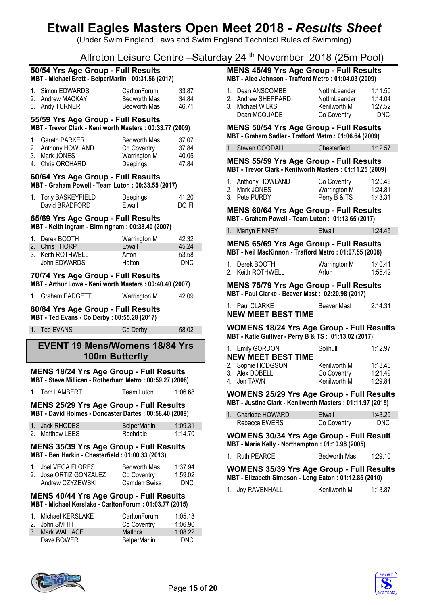(Under Swim England Laws and Swim England Technical Rules of Swimming)

Alfreton Leisure Centre –Saturday 24 th November 2018 (25m Pool)

## **50/54 Yrs Age Group - Full Results MBT - Michael Brett - BelperMarlin : 00:31.56 (2017)**

| 1. Simon EDWARDS | CarltonForum | 33.87 |
|------------------|--------------|-------|
| 2. Andrew MACKAY | Bedworth Mas | 34.84 |
| 3. Andy TURNER   | Bedworth Mas | 46 71 |

## **55/59 Yrs Age Group - Full Results**

**MBT - Trevor Clark - Kenilworth Masters : 00:33.77 (2009)**

| 1. Gareth PARKER<br>2. Anthony HOWLAND | <b>Bedworth Mas</b><br>Co Coventry | 37.07<br>37.84 |
|----------------------------------------|------------------------------------|----------------|
| 3. Mark JONES                          | Warrington M                       | 40.05          |
| 4. Chris ORCHARD                       | Deepings                           | 47.84          |

#### **60/64 Yrs Age Group - Full Results MBT - Graham Powell - Team Luton : 00:33.55 (2017)**

| 1. Tony BASKEYFIELD | Deepings | 41.20 |
|---------------------|----------|-------|
| David BRADFORD      | Etwall   | DQ FI |

#### **65/69 Yrs Age Group - Full Results MBT - Keith Ingram - Birmingham : 00:38.40 (2007)**

| 1. Derek BOOTH    | Warrington M | 42.32 |
|-------------------|--------------|-------|
| 2. Chris THORP    | Etwall       | 45.24 |
| 3. Keith ROTHWELL | Arfon        | 53.58 |
| John EDWARDS      | Halton       | DNC.  |

# **70/74 Yrs Age Group - Full Results**

**MBT - Arthur Lowe - Kenilworth Masters : 00:40.40 (2007)**

| 1. Graham PADGETT | Warrington M | 42.09 |
|-------------------|--------------|-------|
|                   |              |       |

# **80/84 Yrs Age Group - Full Results**

**MBT - Ted Evans - Co Derby : 00:55.28 (2017)**

1. Ted EVANS Co Derby 58.02

# **EVENT 19 Mens/Womens 18/84 Yrs 100m Butterfly**

#### **MENS 18/24 Yrs Age Group - Full Results MBT - Steve Millican - Rotherham Metro : 00:59.27 (2008)**

1. Tom LAMBERT Team Luton 1:06.68

**MENS 25/29 Yrs Age Group - Full Results MBT - David Holmes - Doncaster Dartes : 00:58.40 (2009)**

| 1. Jack RHODES  | <b>BelperMarlin</b> | 1:09.31 |
|-----------------|---------------------|---------|
| 2. Matthew LEES | Rochdale            | 1:14.70 |

### **MENS 35/39 Yrs Age Group - Full Results MBT - Ben Harkin - Chesterfield : 01:00.33 (2013)**

| 1. Joel VEGA FLORES    | Bedworth Mas        | 1:37.94 |
|------------------------|---------------------|---------|
| 2. Jose ORTIZ GONZALEZ | Co Coventry         | 1:59.02 |
| Andrew CZYZEWSKI       | <b>Camden Swiss</b> | DNC.    |

### **MENS 40/44 Yrs Age Group - Full Results MBT - Michael Kerslake - CarltonForum : 01:03.77 (2015)**

|    | 1. Michael KERSLAKE | CarltonForum        | 1:05.18    |
|----|---------------------|---------------------|------------|
|    | 2. John SMITH       | Co Coventry         | 1:06.90    |
| 3. | Mark WALLACE        | <b>Matlock</b>      | 1:08.22    |
|    | Dave BOWER          | <b>BelperMarlin</b> | <b>DNC</b> |

#### **MENS 45/49 Yrs Age Group - Full Results MBT - Alec Johnson - Trafford Metro : 01:04.03 (2009)**

| 1. Dean ANSCOMBE<br>2. Andrew SHEPPARD<br>3. Michael WILKS | NottmLeander<br>NottmLeander<br>Kenilworth M | 1:11.50<br>1:14.04<br>1:27.52<br>DNC. |
|------------------------------------------------------------|----------------------------------------------|---------------------------------------|
| Dean MCQUADE                                               | Co Coventry                                  |                                       |

#### **MENS 50/54 Yrs Age Group - Full Results MBT - Graham Sadler - Trafford Metro : 01:06.64 (2009)**

1. Steven GOODALL Chesterfield 1:12.57

**MENS 55/59 Yrs Age Group - Full Results MBT - Trevor Clark - Kenilworth Masters : 01:11.25 (2009)**

| 1. Anthony HOWLAND | Co Coventry  | 1:20.48 |
|--------------------|--------------|---------|
| 2. Mark JONES .    | Warrington M | 1:24.81 |
| 3. Pete PURDY      | Perry B & TS | 1:43.31 |

# **MENS 60/64 Yrs Age Group - Full Results**

**MBT - Graham Powell - Team Luton : 01:13.65 (2017)**

| 1. Martyn FINNEY | Etwall | 1:24.45 |
|------------------|--------|---------|
|                  |        |         |

#### **MENS 65/69 Yrs Age Group - Full Results MBT - Neil MacKinnon - Trafford Metro : 01:07.55 (2008)**

| 1. Derek BOOTH    | Warrington M | 1:40.41 |
|-------------------|--------------|---------|
| 2. Keith ROTHWELL | Arfon        | 1:55.42 |

#### **MENS 75/79 Yrs Age Group - Full Results MBT - Paul Clarke - Beaver Mast : 02:20.98 (2017)**

| 1. Paul CLARKE            | <b>Beaver Mast</b> | 2:14.31 |
|---------------------------|--------------------|---------|
| <b>NEW MEET BEST TIME</b> |                    |         |

#### **WOMENS 18/24 Yrs Age Group - Full Results MBT - Katie Gulliver - Perry B & TS : 01:13.02 (2017)**

|                           | 1. Emily GORDON   | Solihull     | 1:12.97 |
|---------------------------|-------------------|--------------|---------|
| <b>NEW MEET BEST TIME</b> |                   |              |         |
|                           | 2. Sophie HODGSON | Kenilworth M | 1:18.46 |
|                           | 3. Alex DOBELL    | Co Coventry  | 1:21.49 |
|                           | 4. Jen TAWN       | Kenilworth M | 1:29.84 |

#### **WOMENS 25/29 Yrs Age Group - Full Results MBT - Justine Clark - Kenilworth Masters : 01:11.97 (2015)**

| 1. Charlotte HOWARD | Etwall      | 1:43.29 |
|---------------------|-------------|---------|
| Rebecca EWERS       | Co Coventry | DNC.    |

**WOMENS 30/34 Yrs Age Group - Full Result MBT - Maria Kelly - Northampton : 01:10.98 (2005)**

## 1. Ruth PEARCE Bedworth Mas 1:29.10

**WOMENS 35/39 Yrs Age Group - Full Results MBT - Elizabeth Simpson - Long Eaton : 01:12.85 (2010)**

|  | 1. Joy RAVENHALL | Kenilworth M | 1:13.87 |
|--|------------------|--------------|---------|
|--|------------------|--------------|---------|



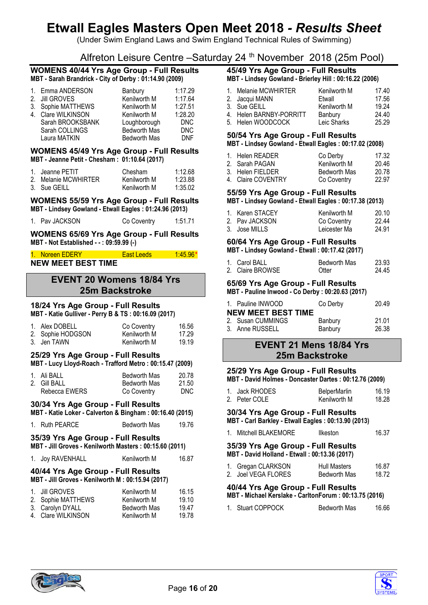(Under Swim England Laws and Swim England Technical Rules of Swimming)

# Alfreton Leisure Centre –Saturday 24 th November 2018 (25m Pool)

#### **WOMENS 40/44 Yrs Age Group - Full Results MBT - Sarah Brandrick - City of Derby : 01:14.90 (2009)**

|   | 1. Emma ANDERSON   | Banbury             | 1:17.29    |
|---|--------------------|---------------------|------------|
|   | 2. Jill GROVES     | Kenilworth M        | 1:17.64    |
|   | 3. Sophie MATTHEWS | Kenilworth M        | 1:27.51    |
| 4 | Clare WILKINSON    | Kenilworth M        | 1:28.20    |
|   | Sarah BROOKSBANK   | Loughborough        | <b>DNC</b> |
|   | Sarah COLLINGS     | <b>Bedworth Mas</b> | <b>DNC</b> |
|   | Laura MATKIN       | <b>Bedworth Mas</b> | <b>DNF</b> |
|   |                    |                     |            |

### **WOMENS 45/49 Yrs Age Group - Full Results MBT - Jeanne Petit - Chesham : 01:10.64 (2017)**

| 1. Jeanne PETIT      | Chesham      | 1:12.68 |
|----------------------|--------------|---------|
| 2. Melanie MCWHIRTER | Kenilworth M | 1:23.88 |
| 3. Sue GEILL         | Kenilworth M | 1:35.02 |

### **WOMENS 55/59 Yrs Age Group - Full Results MBT - Lindsey Gowland - Etwall Eagles : 01:24.96 (2013)**

| 1. Pav JACKSON |             | 1:51.71 |
|----------------|-------------|---------|
|                | Co Coventry |         |

## **WOMENS 65/69 Yrs Age Group - Full Results MBT - Not Established - - : 09:59.99 (-)**

| 1. Noreen EDERY           | <b>East Leeds</b> | $1:45.96*$ |
|---------------------------|-------------------|------------|
| <b>NEW MEET BEST TIME</b> |                   |            |

# **EVENT 20 Womens 18/84 Yrs 25m Backstroke**

## **18/24 Yrs Age Group - Full Results MBT - Katie Gulliver - Perry B & TS : 00:16.09 (2017)**

| 1. Alex DOBELL    | Co Coventry  | 16.56 |
|-------------------|--------------|-------|
| 2. Sophie HODGSON | Kenilworth M | 17.29 |
| 3. Jen TAWN       | Kenilworth M | 19.19 |

#### **25/29 Yrs Age Group - Full Results MBT - Lucy Lloyd-Roach - Trafford Metro : 00:15.47 (2009)**

| 1. Ali BALL   | Bedworth Mas        | 20.78      |
|---------------|---------------------|------------|
| 2. Gill BALL  | <b>Bedworth Mas</b> | 21.50      |
| Rebecca EWERS | Co Coventry         | <b>DNC</b> |

# **30/34 Yrs Age Group - Full Results**

# **MBT - Katie Loker - Calverton & Bingham : 00:16.40 (2015)**

| 1. Ruth PEARCE | <b>Bedworth Mas</b> | 19.76 |
|----------------|---------------------|-------|
|                |                     |       |

# **35/39 Yrs Age Group - Full Results**

**MBT - Jill Groves - Kenilworth Masters : 00:15.60 (2011)**

|  |  | 1. Joy RAVENHALL | Kenilworth M | 16.87 |
|--|--|------------------|--------------|-------|
|--|--|------------------|--------------|-------|

#### **40/44 Yrs Age Group - Full Results MBT - Jill Groves - Kenilworth M : 00:15.94 (2017)**

| 1. Jill GROVES     | Kenilworth M        | 16.15 |
|--------------------|---------------------|-------|
| 2. Sophie MATTHEWS | Kenilworth M        | 19.10 |
| 3. Carolyn DYALL   | <b>Bedworth Mas</b> | 1947  |
| 4. Clare WILKINSON | Kenilworth M        | 19.78 |

## **45/49 Yrs Age Group - Full Results MBT - Lindsey Gowland - Brierley Hill : 00:16.22 (2006)**

| 1. Melanie MCWHIRTER    | Kenilworth M | 17.40 |
|-------------------------|--------------|-------|
| 2. Jacqui MANN          | Etwall       | 17.56 |
| 3. Sue GEILL            | Kenilworth M | 19.24 |
| 4. Helen BARNBY-PORRITT | Banbury      | 24.40 |
| 5. Helen WOODCOCK       | Leic Sharks  | 25.29 |

# **50/54 Yrs Age Group - Full Results**

## **MBT - Lindsey Gowland - Etwall Eagles : 00:17.02 (2008)**

| 1. Helen READER    | Co Derby            | 17.32 |
|--------------------|---------------------|-------|
| 2. Sarah PAGAN     | Kenilworth M        | 20.46 |
| 3. Helen FIELDER   | <b>Bedworth Mas</b> | 20.78 |
| 4. Claire COVENTRY | Co Coventry         | 22.97 |

# **55/59 Yrs Age Group - Full Results**

|                 | MBT - Lindsey Gowland - Etwall Eagles: 00:17.38 (2013) |       |
|-----------------|--------------------------------------------------------|-------|
| 1. Karen STACEY | Kenilworth M                                           | 20.10 |

|                |              | <u>LV.IV</u> |
|----------------|--------------|--------------|
| 2. Pay JACKSON | Co Coventry  | 22.44        |
| 3. Jose MILLS  | Leicester Ma | 24.91        |

#### **60/64 Yrs Age Group - Full Results MBT - Lindsey Gowland - Etwall : 00:17.42 (2017)**

| ------- |               |              |               |
|---------|---------------|--------------|---------------|
|         | 1. Carol BALL | Bedworth Mas | 23.93         |
|         | 0.01100       |              | $\sim$ $\sim$ |

# 2. Claire BROWSE Otter 24.45

# **65/69 Yrs Age Group - Full Results**

**MBT - Pauline Inwood - Co Derby : 00:20.63 (2017)**

| 1. Pauline INWOOD         | Co Derby | 20.49 |  |  |
|---------------------------|----------|-------|--|--|
| <b>NEW MEET BEST TIME</b> |          |       |  |  |
| 2. Susan CUMMINGS         | Banbury  | 21.01 |  |  |
| 3. Anne RUSSELL           | Banbury  | 26.38 |  |  |

# **EVENT 21 Mens 18/84 Yrs 25m Backstroke**

#### **25/29 Yrs Age Group - Full Results MBT - David Holmes - Doncaster Dartes : 00:12.76 (2009)**

| 1. Jack RHODES | <b>BelperMarlin</b> | 16.19 |
|----------------|---------------------|-------|
| 2. Peter COLE  | Kenilworth M        | 18.28 |

### **30/34 Yrs Age Group - Full Results MBT - Carl Barkley - Etwall Eagles : 00:13.90 (2013)**

| Mitchell BLAKEMORE | Ilkeston | 16.37 |
|--------------------|----------|-------|

### **35/39 Yrs Age Group - Full Results MBT - David Holland - Etwall : 00:13.36 (2017)**

| 1. Gregan CLARKSON  | <b>Hull Masters</b> | 16.87 |
|---------------------|---------------------|-------|
| 2. Joel VEGA FLORES | Bedworth Mas        | 18.72 |

# **40/44 Yrs Age Group - Full Results**

**MBT - Michael Kerslake - CarltonForum : 00:13.75 (2016)**

| 1. Stuart COPPOCK | Bedworth Mas | 16.66 |
|-------------------|--------------|-------|
|                   |              |       |



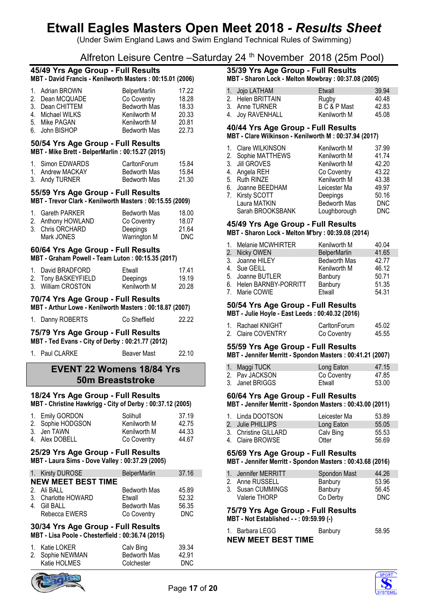(Under Swim England Laws and Swim England Technical Rules of Swimming)

# Alfreton Leisure Centre –Saturday 24 th November 2018 (25m Pool)

| 45/49 Yrs Age Group - Full Results<br>MBT - David Francis - Kenilworth Masters: 00:15.01 (2006) |                  |                     |       |  |
|-------------------------------------------------------------------------------------------------|------------------|---------------------|-------|--|
|                                                                                                 | 1. Adrian BROWN  | <b>BelperMarlin</b> | 17.22 |  |
|                                                                                                 | 2. Dean MCQUADE  | Co Coventry         | 18.28 |  |
|                                                                                                 | 3. Dean CHITTEM  | <b>Bedworth Mas</b> | 18.33 |  |
|                                                                                                 | 4. Michael WILKS | Kenilworth M        | 20.33 |  |
|                                                                                                 | 5. Mike PAGAN    | Kenilworth M        | 20.81 |  |
|                                                                                                 | 6. John BISHOP   | <b>Bedworth Mas</b> | 22.73 |  |

#### **50/54 Yrs Age Group - Full Results MBT - Mike Brett - BelperMarlin : 00:15.27 (2015)**

| 1. Simon EDWARDS | CarltonForum | 15.84 |
|------------------|--------------|-------|
| 1. Andrew MACKAY | Bedworth Mas | 15.84 |
| 3. Andy TURNER   | Bedworth Mas | 21.30 |

# **55/59 Yrs Age Group - Full Results**

**MBT - Trevor Clark - Kenilworth Masters : 00:15.55 (2009)**

| 1. Gareth PARKER   | <b>Bedworth Mas</b> | 18.00 |
|--------------------|---------------------|-------|
| 2. Anthony HOWLAND | Co Coventry         | 18.07 |
| 3. Chris ORCHARD   | <b>Deepings</b>     | 21.64 |
| Mark JONES         | Warrington M        | DNC.  |

## **60/64 Yrs Age Group - Full Results**

**MBT - Graham Powell - Team Luton : 00:15.35 (2017)**

| 1. David BRADFORD   | Etwall       | 17 41 |
|---------------------|--------------|-------|
| 2. Tony BASKEYFIELD | Deepings     | 19.19 |
| 3. William CROSTON  | Kenilworth M | 20.28 |

## **70/74 Yrs Age Group - Full Results**

**MBT - Arthur Lowe - Kenilworth Masters : 00:18.87 (2007)**

|  | 1. Danny ROBERTS | Co Sheffield | 22.22 |
|--|------------------|--------------|-------|
|--|------------------|--------------|-------|

## **75/79 Yrs Age Group - Full Results**

**MBT - Ted Evans - City of Derby : 00:21.77 (2012)**

1. Paul CLARKE Beaver Mast 22.10

# **EVENT 22 Womens 18/84 Yrs 50m Breaststroke**

## **18/24 Yrs Age Group - Full Results MBT - Christine Hawkrigg - City of Derby : 00:37.12 (2005)**

| Solihull                                                              | 37.19 |
|-----------------------------------------------------------------------|-------|
| Kenilworth M                                                          | 42.75 |
| Kenilworth M                                                          | 44.33 |
| Co Coventry                                                           | 44.67 |
| 1. Emily GORDON<br>2. Sophie HODGSON<br>3. Jen TAWN<br>4. Alex DOBELL |       |

#### **25/29 Yrs Age Group - Full Results MBT - Laura Sims - Dove Valley : 00:37.29 (2005)**

| 1. Kirsty DUROSE          | <b>BelperMarlin</b> | 37.16 |
|---------------------------|---------------------|-------|
| <b>NEW MEET BEST TIME</b> |                     |       |
| 2. Ali BALL               | <b>Bedworth Mas</b> | 45.89 |
| 3. Charlotte HOWARD       | Etwall              | 52.32 |
| 4. Gill BALL              | <b>Bedworth Mas</b> | 56.35 |
| Rebecca EWERS             | Co Coventry         | DNC.  |

# **30/34 Yrs Age Group - Full Results**

**MBT - Lisa Poole - Chesterfield : 00:36.74 (2015)**

| 1. Katie LOKER   | Calv Bing           | 39.34 |
|------------------|---------------------|-------|
| 2. Sophie NEWMAN | <b>Bedworth Mas</b> | 42.91 |
| Katie HOLMES     | Colchester          | DNC.  |



## **35/39 Yrs Age Group - Full Results MBT - Sharon Lock - Melton Mowbray : 00:37.08 (2005)**

| 1. Jojo LATHAM    | Etwall       | 39.94 |
|-------------------|--------------|-------|
| 2. Helen BRITTAIN | Rugby        | 40.48 |
| 3. Anne TURNER    | B C & P Mast | 42.83 |
| 4. Joy RAVENHALL  | Kenilworth M | 45.08 |

# **40/44 Yrs Age Group - Full Results**

| MBT - Clare Wilkinson - Kenilworth M : 00:37.94 (2017) |  |  |  |
|--------------------------------------------------------|--|--|--|

|    | 1. Clare WILKINSON | Kenilworth M        | 37.99      |
|----|--------------------|---------------------|------------|
|    | 2. Sophie MATTHEWS | Kenilworth M        | 41.74      |
|    | 3. Jill GROVES     | Kenilworth M        | 42.20      |
|    | 4. Angela REH      | Co Coventry         | 43.22      |
|    | 5. Ruth RINZE      | Kenilworth M        | 43.38      |
| 6. | Joanne BEEDHAM     | Leicester Ma        | 49.97      |
|    | 7. Kirsty SCOTT    | Deepings            | 50.16      |
|    | Laura MATKIN       | <b>Bedworth Mas</b> | <b>DNC</b> |
|    | Sarah BROOKSBANK   | Loughborough        | <b>DNC</b> |
|    |                    |                     |            |

# **45/49 Yrs Age Group - Full Results**

**MBT - Sharon Lock - Melton M'bry : 00:39.08 (2014)**

| 1. Melanie MCWHIRTER    | Kenilworth M        | 40.04 |
|-------------------------|---------------------|-------|
| 2. Nicky OWEN           | <b>BelperMarlin</b> | 41.65 |
| 3. Joanne HILEY         | <b>Bedworth Mas</b> | 42.77 |
| 4. Sue GEILL            | Kenilworth M        | 46.12 |
| 5. Joanne BUTLER        | Banbury             | 50.71 |
| 6. Helen BARNBY-PORRITT | Banbury             | 51.35 |
| 7. Marie COWIE          | Etwall              | 54.31 |

### **50/54 Yrs Age Group - Full Results MBT - Julie Hoyle - East Leeds : 00:40.32 (2016)**

| 1. Rachael KNIGHT  | CarltonForum | 45.02 |
|--------------------|--------------|-------|
| 2. Claire COVENTRY | Co Coventry  | 45.55 |

# **55/59 Yrs Age Group - Full Results**

# **MBT - Jennifer Merritt - Spondon Masters : 00:41.21 (2007)**

| 1. Maggi TUCK   | Long Eaton  | 47.15 |
|-----------------|-------------|-------|
| 2. Pay JACKSON  | Co Coventry | 47.85 |
| 3. Janet BRIGGS | Etwall      | 53.00 |

# **60/64 Yrs Age Group - Full Results**

**MBT - Jennifer Merritt - Spondon Masters : 00:43.00 (2011)**

| 1. Linda DOOTSON     | Leicester Ma | 53.89 |
|----------------------|--------------|-------|
| 2. Julie PHILLIPS    | Long Eaton   | 55.05 |
| 3. Christine GILLARD | Calv Bing    | 55.53 |
| 4. Claire BROWSE     | Otter        | 56.69 |

# **65/69 Yrs Age Group - Full Results**

**MBT - Jennifer Merritt - Spondon Masters : 00:43.68 (2016)**

| 1. Jennifer MERRITT | Spondon Mast | 44.26 |
|---------------------|--------------|-------|
| 2. Anne RUSSELL     | Banbury      | 53.96 |
| 3. Susan CUMMINGS   | Banbury      | 56.45 |
| Valerie THORP       | Co Derby     | DNC.  |
|                     |              |       |

### **75/79 Yrs Age Group - Full Results MBT - Not Established - - : 09:59.99 (-)**

| 1. Barbara LEGG           | Banbury | 58.95 |
|---------------------------|---------|-------|
| <b>NEW MEET BEST TIME</b> |         |       |

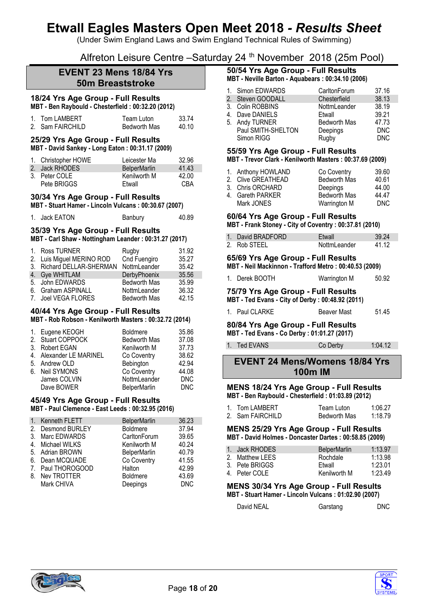(Under Swim England Laws and Swim England Technical Rules of Swimming)

Alfreton Leisure Centre –Saturday 24 th November 2018 (25m Pool)

# **EVENT 23 Mens 18/84 Yrs 50m Breaststroke**

# **18/24 Yrs Age Group - Full Results**

**MBT - Ben Raybould - Chesterfield : 00:32.20 (2012)**

| 1. Tom LAMBERT   | Team Luton   | 33.74 |
|------------------|--------------|-------|
| 2. Sam FAIRCHILD | Bedworth Mas | 40.10 |

#### **25/29 Yrs Age Group - Full Results MBT - David Sankey - Long Eaton : 00:31.17 (2009)**

| 1. Christopher HOWE | Leicester Ma        | 32.96 |
|---------------------|---------------------|-------|
| 2. Jack RHODES      | <b>BelperMarlin</b> | 41.43 |
| 3. Peter COLE       | Kenilworth M        | 42.00 |
| Pete BRIGGS         | Etwall              | CBA   |

# **30/34 Yrs Age Group - Full Results**

**MBT - Stuart Hamer - Lincoln Vulcans : 00:30.67 (2007)**

| 1. Jack EATON | Banbury | 40.89 |
|---------------|---------|-------|
|               |         |       |

# **35/39 Yrs Age Group - Full Results**

**MBT - Carl Shaw - Nottingham Leander : 00:31.27 (2017)**

| 1. Ross TURNER            | Rugby               | 31.92 |
|---------------------------|---------------------|-------|
| 2. Luis Miguel MERINO ROD | Cnd Fuengiro        | 35.27 |
| 3. Richard DELLAR-SHERMAN | NottmLeander        | 35.42 |
| 4. Gye WHITLAM            | DerbyPhoenix        | 35.56 |
| 5. John EDWARDS           | <b>Bedworth Mas</b> | 35.99 |
| 6. Graham ASPINALL        | NottmLeander        | 36.32 |
| 7. Joel VEGA FLORES       | <b>Bedworth Mas</b> | 42.15 |

# **40/44 Yrs Age Group - Full Results**

**MBT - Rob Robson - Kenilworth Masters : 00:32.72 (2014)**

| 1. Eugene KEOGH         | <b>Boldmere</b>     | 35.86      |
|-------------------------|---------------------|------------|
| 2. Stuart COPPOCK       | <b>Bedworth Mas</b> | 37.08      |
| 3. Robert EGAN          | Kenilworth M        | 37.73      |
| 4. Alexander LE MARINEL | Co Coventry         | 38.62      |
| 5. Andrew OLD           | Bebington           | 42.94      |
| 6. Neil SYMONS          | Co Coventry         | 44.08      |
| James COLVIN            | NottmLeander        | <b>DNC</b> |
| Dave BOWER              | <b>BelperMarlin</b> | <b>DNC</b> |

# **45/49 Yrs Age Group - Full Results**

**MBT - Paul Clemence - East Leeds : 00:32.95 (2016)**

| 1. | Kenneth FLETT     | <b>BelperMarlin</b> | 36.23      |
|----|-------------------|---------------------|------------|
|    | 2. Desmond BURLEY | <b>Boldmere</b>     | 37.94      |
| 3. | Marc EDWARDS      | CarltonForum        | 39.65      |
| 4. | Michael WILKS     | Kenilworth M        | 40.24      |
|    | 5. Adrian BROWN   | <b>BelperMarlin</b> | 40.79      |
|    | 6. Dean MCQUADE   | Co Coventry         | 41.55      |
|    | 7. Paul THOROGOOD | Halton              | 42.99      |
| 8. | Nev TROTTER       | <b>Boldmere</b>     | 43.69      |
|    | Mark CHIVA        | Deepings            | <b>DNC</b> |
|    |                   |                     |            |

## **50/54 Yrs Age Group - Full Results MBT - Neville Barton - Aquabears : 00:34.10 (2006)**

|   | 1. Simon EDWARDS   | CarltonForum        | 37.16      |
|---|--------------------|---------------------|------------|
|   | 2. Steven GOODALL  | Chesterfield        | 38.13      |
|   | 3. Colin ROBBINS   | NottmLeander        | 38.19      |
| 4 | Dave DANIELS       | Etwall              | 39.21      |
|   | 5. Andy TURNER     | <b>Bedworth Mas</b> | 47.73      |
|   | Paul SMITH-SHELTON | Deepings            | <b>DNC</b> |
|   | Simon RIGG         | Rugby               | <b>DNC</b> |

## **55/59 Yrs Age Group - Full Results**

**MBT - Trevor Clark - Kenilworth Masters : 00:37.69 (2009)**

|            | Co Coventry                                                                      | 39.60 |
|------------|----------------------------------------------------------------------------------|-------|
|            | <b>Bedworth Mas</b>                                                              | 40.61 |
|            | Deepings                                                                         | 44.00 |
|            | Bedworth Mas                                                                     | 44.47 |
| Mark JONES | Warrington M                                                                     | DNC   |
|            | 1. Anthony HOWLAND<br>2. Clive GREATHEAD<br>3. Chris ORCHARD<br>4. Gareth PARKER |       |

#### **60/64 Yrs Age Group - Full Results MBT - Frank Stoney - City of Coventry : 00:37.81 (2010)**

|                   | $\frac{1}{2}$ . The motion of $\frac{1}{2}$ and $\frac{1}{2}$ are only to a set of $\frac{1}{2}$ |       |
|-------------------|--------------------------------------------------------------------------------------------------|-------|
| 1. David BRADFORD | Etwall                                                                                           | 39.24 |
| 2. Rob STEEL      | NottmLeander                                                                                     | 41.12 |

# **65/69 Yrs Age Group - Full Results**

**MBT - Neil Mackinnon - Trafford Metro : 00:40.53 (2009)**

| 1. Derek BOOTH | Warrington M | 50.92 |
|----------------|--------------|-------|
|                |              |       |

#### **75/79 Yrs Age Group - Full Results MBT - Ted Evans - City of Derby : 00:48.92 (2011)**

| 1. Paul CLARKE | Beaver Mast | 51.45 |
|----------------|-------------|-------|

# **80/84 Yrs Age Group - Full Results**

# **MBT - Ted Evans - Co Derby : 01:01.27 (2017)**

1. Ted EVANS Co Derby 1:04.12

# **EVENT 24 Mens/Womens 18/84 Yrs 100m IM**

#### **MENS 18/24 Yrs Age Group - Full Results MBT - Ben Raybould - Chesterfield : 01:03.89 (2012)**

| 1. Tom LAMBERT     | Team Luton   | 1:06.27 |
|--------------------|--------------|---------|
| 2. Sam FAIRCHILD . | Bedworth Mas | 1:18.79 |

**MENS 25/29 Yrs Age Group - Full Results MBT - David Holmes - Doncaster Dartes : 00:58.85 (2009)**

| 1. Jack RHODES  | <b>BelperMarlin</b> | 1:13.97 |
|-----------------|---------------------|---------|
| 2. Matthew LEES | Rochdale            | 1:13.98 |
| 3. Pete BRIGGS  | Etwall              | 1:23.01 |
| 4. Peter COLE   | Kenilworth M        | 1:23.49 |

# **MENS 30/34 Yrs Age Group - Full Results**

**MBT - Stuart Hamer - Lincoln Vulcans : 01:02.90 (2007)**

| David NEAL | Garstang | DNC |
|------------|----------|-----|
|------------|----------|-----|

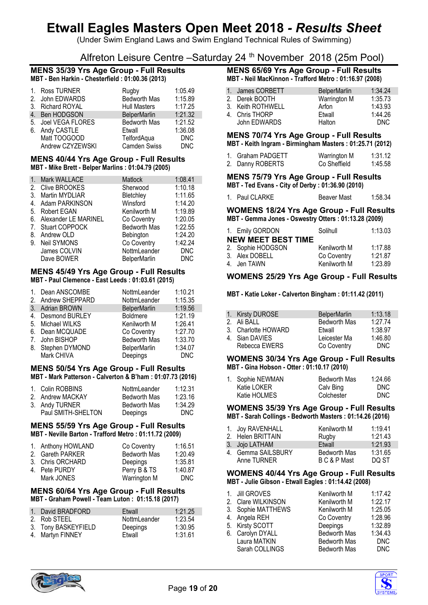(Under Swim England Laws and Swim England Technical Rules of Swimming)

# Alfreton Leisure Centre –Saturday 24 th November 2018 (25m Pool)

#### **MENS 35/39 Yrs Age Group - Full Results MBT - Ben Harkin - Chesterfield : 01:00.36 (2013)**

|                  | 1. Ross TURNER      | Rugby               | 1:05.49    |
|------------------|---------------------|---------------------|------------|
|                  | 2. John EDWARDS     | <b>Bedworth Mas</b> | 1:15.89    |
|                  | 3. Richard ROYAL    | <b>Hull Masters</b> | 1:17.25    |
| $\overline{4}$ . | Ben HODGSON         | <b>BelperMarlin</b> | 1:21.32    |
|                  | 5. Joel VEGA FLORES | <b>Bedworth Mas</b> | 1:21.52    |
|                  | 6. Andy CASTLE      | Etwall              | 1:36.08    |
|                  | Matt TOOGOOD        | TelfordAqua         | <b>DNC</b> |
|                  | Andrew CZYZEWSKI    | <b>Camden Swiss</b> | <b>DNC</b> |
|                  |                     |                     |            |

### **MENS 40/44 Yrs Age Group - Full Results MBT - Mike Brett - Belper Marlins : 01:04.79 (2005)**

| $\overline{1}$ .                | <b>Mark WALLACE</b>   | Matlock             | 1:08.41    |
|---------------------------------|-----------------------|---------------------|------------|
| 2.                              | Clive BROOKES         | Sherwood            | 1:10.18    |
| 3.                              | Martin MYDLIAR        | Bletchley           | 1:11.65    |
| 4.                              | Adam PARKINSON        | Winsford            | 1:14.20    |
| 5.                              | Robert EGAN           | Kenilworth M        | 1:19.89    |
| 6.                              | Alexander LE MARINEL  | Co Coventry         | 1:20.05    |
| $7_{\scriptscriptstyle{\circ}}$ | <b>Stuart COPPOCK</b> | <b>Bedworth Mas</b> | 1:22.55    |
| 8.                              | Andrew OLD            | Bebington           | 1:24.20    |
| 9.                              | Neil SYMONS           | Co Coventry         | 1:42.24    |
|                                 | James COLVIN          | NottmLeander        | <b>DNC</b> |
|                                 | Dave BOWER            | <b>BelperMarlin</b> | <b>DNC</b> |

## **MENS 45/49 Yrs Age Group - Full Results MBT - Paul Clemence - East Leeds : 01:03.61 (2015)**

| $1_{\cdot}$ | Dean ANSCOMBE      | NottmLeander        | 1:10.21 |
|-------------|--------------------|---------------------|---------|
|             | 2. Andrew SHEPPARD | NottmLeander        | 1:15.35 |
|             | 3. Adrian BROWN    | <b>BelperMarlin</b> | 1:19.56 |
|             | 4. Desmond BURLEY  | <b>Boldmere</b>     | 1:21.19 |
|             | 5. Michael WILKS   | Kenilworth M        | 1:26.41 |
|             | 6. Dean MCQUADE    | Co Coventry         | 1:27.70 |
|             | 7. John BISHOP     | <b>Bedworth Mas</b> | 1:33.70 |
| 8.          | Stephen DYMOND     | <b>BelperMarlin</b> | 1:34.07 |
|             | Mark CHIVA         | Deepings            | DNC     |

### **MENS 50/54 Yrs Age Group - Full Results MBT - Mark Patterson - Calverton & B'ham : 01:07.73 (2016)**

| 1. Colin ROBBINS   | NottmLeander        | 1:12.31 |
|--------------------|---------------------|---------|
| 2. Andrew MACKAY   | <b>Bedworth Mas</b> | 1:23.16 |
| 3. Andy TURNER     | <b>Bedworth Mas</b> | 1:34.29 |
| Paul SMITH-SHELTON | Deepings            | DNC.    |

### **MENS 55/59 Yrs Age Group - Full Results MBT - Neville Barton - Trafford Metro : 01:11.72 (2009)**

| 1. Anthony HOWLAND | Co Coventry         | 1:16.51 |
|--------------------|---------------------|---------|
| 2. Gareth PARKER   | <b>Bedworth Mas</b> | 1:20.49 |
| 3. Chris ORCHARD   | Deepings            | 1:35.81 |
| 4. Pete PURDY      | Perry B & TS        | 1:40.87 |
| Mark JONES         | Warrington M        | DNC.    |
|                    |                     |         |

## **MENS 60/64 Yrs Age Group - Full Results MBT - Graham Powell - Team Luton : 01:15.18 (2017)**

| 1. David BRADFORD   | Etwall       | 1:21.25 |
|---------------------|--------------|---------|
| 2. Rob STEEL        | NottmLeander | 1:23.54 |
| 3. Tony BASKEYFIELD | Deepings     | 1:30.95 |
| 4. Martyn FINNEY    | Etwall       | 1:31.61 |

### **MENS 65/69 Yrs Age Group - Full Results MBT - Neil MacKinnon - Trafford Metro : 01:16.97 (2008)**

| 1. James CORBETT  | <b>BelperMarlin</b> | 1:34.24 |
|-------------------|---------------------|---------|
|                   |                     |         |
| 2. Derek BOOTH    | Warrington M        | 1:35.73 |
| 3. Keith ROTHWELL | Arfon               | 1:43.93 |
|                   |                     |         |
| 4. Chris THORP    | Etwall              | 1:44.26 |
| John EDWARDS      | Halton              | DNC.    |

# **MENS 70/74 Yrs Age Group - Full Results**

**MBT - Keith Ingram - Birmingham Masters : 01:25.71 (2012)**

| 1. Graham PADGETT | Warrington M | 1:31.12 |
|-------------------|--------------|---------|
| 2. Danny ROBERTS  | Co Sheffield | 1:45.58 |

**MENS 75/79 Yrs Age Group - Full Results MBT - Ted Evans - City of Derby : 01:36.90 (2010)**

| 1. Paul CLARKE |             | 1:58.34 |
|----------------|-------------|---------|
|                | Beaver Mast |         |

**WOMENS 18/24 Yrs Age Group - Full Results MBT - Gemma Jones - Oswestry Otters : 01:13.28 (2009)**

| 1. Emily GORDON           | Solihull     | 1:13.03 |
|---------------------------|--------------|---------|
| <b>NEW MEET BEST TIME</b> |              |         |
| 2. Sophie HODGSON         | Kenilworth M | 1:17.88 |
| 3. Alex DOBELL            | Co Coventry  | 1:21.87 |
| 4. Jen TAWN               | Kenilworth M | 1:23.89 |

# **WOMENS 25/29 Yrs Age Group - Full Results**

**MBT - Katie Loker - Calverton Bingham : 01:11.42 (2011)**

| 1. Kirsty DUROSE    | <b>BelperMarlin</b> | 1:13.18 |
|---------------------|---------------------|---------|
| 2. Ali BALL         | <b>Bedworth Mas</b> | 1:27.74 |
| 3. Charlotte HOWARD | Etwall              | 1:38.97 |
| 4. Sian DAVIES      | Leicester Ma        | 1:46.80 |
| Rebecca EWERS       | Co Coventry         | DNC.    |

### **WOMENS 30/34 Yrs Age Group - Full Results MBT - Gina Hobson - Otter : 01:10.17 (2010)**

| 1. Sophie NEWMAN | Bedworth Mas | 1:24.66 |
|------------------|--------------|---------|
| Katie LOKER      | Calv Bing    | DNC.    |
| Katie HOLMES     | Colchester   | DNC.    |

#### **WOMENS 35/39 Yrs Age Group - Full Results MBT - Sarah Collings - Bedworth Masters : 01:14.26 (2016)**

| 1. Joy RAVENHALL<br>2. Helen BRITTAIN | Kenilworth M<br>Rugby | 1:19.41<br>1:21.43 |
|---------------------------------------|-----------------------|--------------------|
| 3. Jojo LATHAM                        | Etwall                | 1:21.93            |
| 4. Gemma SAILSBURY                    | Bedworth Mas          | 1:31.65            |
| Anne TURNER                           | B C & P Mast          | DO ST              |

## **WOMENS 40/44 Yrs Age Group - Full Results MBT - Julie Gibson - Etwall Eagles : 01:14.42 (2008)**

| 1. Jill GROVES     | Kenilworth M        | 1:17.42    |
|--------------------|---------------------|------------|
| 2. Clare WILKINSON | Kenilworth M        | 1:22.17    |
| 3. Sophie MATTHEWS | Kenilworth M        | 1:25.05    |
| 4. Angela REH      | Co Coventry         | 1:28.96    |
| 5. Kirsty SCOTT    | Deepings            | 1:32.89    |
| 6. Carolyn DYALL   | <b>Bedworth Mas</b> | 1:34.43    |
| Laura MATKIN       | <b>Bedworth Mas</b> | <b>DNC</b> |
| Sarah COLLINGS     | <b>Bedworth Mas</b> | <b>DNC</b> |